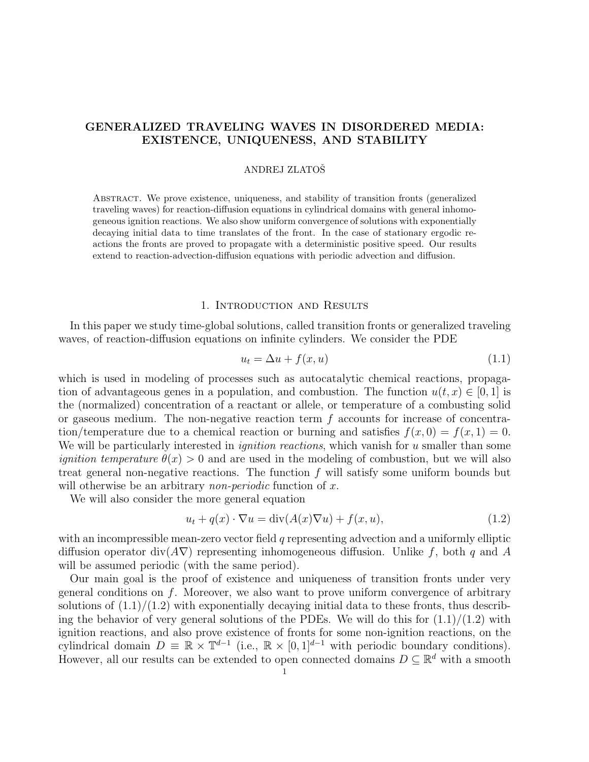# GENERALIZED TRAVELING WAVES IN DISORDERED MEDIA: EXISTENCE, UNIQUENESS, AND STABILITY

### ANDREJ ZLATOSˇ

Abstract. We prove existence, uniqueness, and stability of transition fronts (generalized traveling waves) for reaction-diffusion equations in cylindrical domains with general inhomogeneous ignition reactions. We also show uniform convergence of solutions with exponentially decaying initial data to time translates of the front. In the case of stationary ergodic reactions the fronts are proved to propagate with a deterministic positive speed. Our results extend to reaction-advection-diffusion equations with periodic advection and diffusion.

### 1. Introduction and Results

In this paper we study time-global solutions, called transition fronts or generalized traveling waves, of reaction-diffusion equations on infinite cylinders. We consider the PDE

$$
u_t = \Delta u + f(x, u) \tag{1.1}
$$

which is used in modeling of processes such as autocatalytic chemical reactions, propagation of advantageous genes in a population, and combustion. The function  $u(t, x) \in [0, 1]$  is the (normalized) concentration of a reactant or allele, or temperature of a combusting solid or gaseous medium. The non-negative reaction term  $f$  accounts for increase of concentration/temperature due to a chemical reaction or burning and satisfies  $f(x, 0) = f(x, 1) = 0$ . We will be particularly interested in *ignition reactions*, which vanish for u smaller than some *ignition temperature*  $\theta(x) > 0$  and are used in the modeling of combustion, but we will also treat general non-negative reactions. The function  $f$  will satisfy some uniform bounds but will otherwise be an arbitrary *non-periodic* function of x.

We will also consider the more general equation

$$
u_t + q(x) \cdot \nabla u = \text{div}(A(x)\nabla u) + f(x, u), \qquad (1.2)
$$

with an incompressible mean-zero vector field q representing advection and a uniformly elliptic diffusion operator div( $A\nabla$ ) representing inhomogeneous diffusion. Unlike f, both q and A will be assumed periodic (with the same period).

Our main goal is the proof of existence and uniqueness of transition fronts under very general conditions on  $f$ . Moreover, we also want to prove uniform convergence of arbitrary solutions of  $(1.1)/(1.2)$  with exponentially decaying initial data to these fronts, thus describing the behavior of very general solutions of the PDEs. We will do this for  $(1.1)/(1.2)$  with ignition reactions, and also prove existence of fronts for some non-ignition reactions, on the cylindrical domain  $D \equiv \mathbb{R} \times \mathbb{T}^{d-1}$  (i.e.,  $\mathbb{R} \times [0,1]^{d-1}$  with periodic boundary conditions). However, all our results can be extended to open connected domains  $D \subseteq \mathbb{R}^d$  with a smooth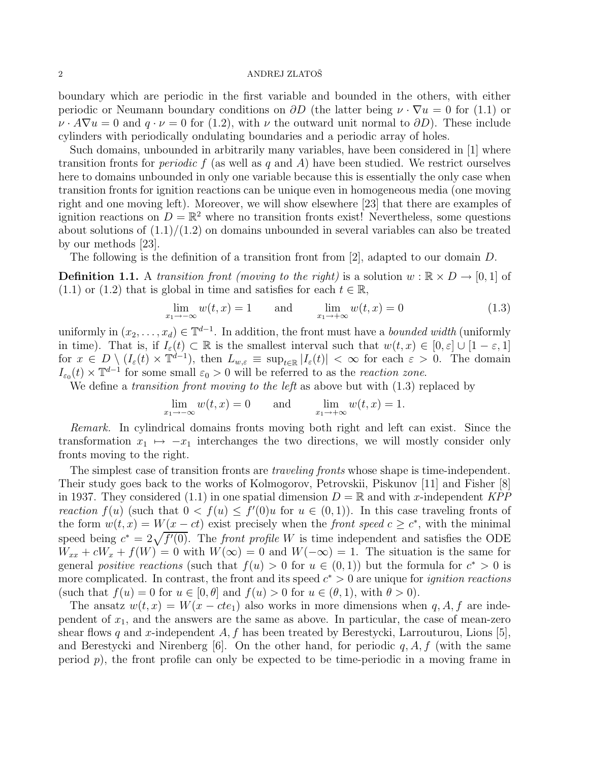boundary which are periodic in the first variable and bounded in the others, with either periodic or Neumann boundary conditions on  $\partial D$  (the latter being  $\nu \cdot \nabla u = 0$  for (1.1) or  $\nu \cdot A \nabla u = 0$  and  $q \cdot \nu = 0$  for (1.2), with  $\nu$  the outward unit normal to  $\partial D$ ). These include cylinders with periodically ondulating boundaries and a periodic array of holes.

Such domains, unbounded in arbitrarily many variables, have been considered in [1] where transition fronts for *periodic*  $f$  (as well as  $q$  and  $A$ ) have been studied. We restrict ourselves here to domains unbounded in only one variable because this is essentially the only case when transition fronts for ignition reactions can be unique even in homogeneous media (one moving right and one moving left). Moreover, we will show elsewhere [23] that there are examples of ignition reactions on  $D = \mathbb{R}^2$  where no transition fronts exist! Nevertheless, some questions about solutions of  $(1.1)/(1.2)$  on domains unbounded in several variables can also be treated by our methods [23].

The following is the definition of a transition front from [2], adapted to our domain D.

**Definition 1.1.** A *transition front (moving to the right)* is a solution  $w : \mathbb{R} \times D \to [0, 1]$  of (1.1) or (1.2) that is global in time and satisfies for each  $t \in \mathbb{R}$ ,

$$
\lim_{x_1 \to -\infty} w(t, x) = 1 \quad \text{and} \quad \lim_{x_1 \to +\infty} w(t, x) = 0 \tag{1.3}
$$

uniformly in  $(x_2, \ldots, x_d) \in \mathbb{T}^{d-1}$ . In addition, the front must have a *bounded width* (uniformly in time). That is, if  $I_{\varepsilon}(t) \subset \mathbb{R}$  is the smallest interval such that  $w(t, x) \in [0, \varepsilon] \cup [1 - \varepsilon, 1]$ for  $x \in D \setminus (I_{\varepsilon}(t) \times \mathbb{T}^{d-1})$ , then  $L_{w,\varepsilon} \equiv \sup_{t \in \mathbb{R}} |I_{\varepsilon}(t)| < \infty$  for each  $\varepsilon > 0$ . The domain  $I_{\varepsilon_0}(t) \times \mathbb{T}^{d-1}$  for some small  $\varepsilon_0 > 0$  will be referred to as the *reaction zone*.

We define a *transition front moving to the left* as above but with (1.3) replaced by

$$
\lim_{x_1 \to -\infty} w(t, x) = 0 \quad \text{and} \quad \lim_{x_1 \to +\infty} w(t, x) = 1.
$$

*Remark.* In cylindrical domains fronts moving both right and left can exist. Since the transformation  $x_1 \mapsto -x_1$  interchanges the two directions, we will mostly consider only fronts moving to the right.

The simplest case of transition fronts are *traveling fronts* whose shape is time-independent. Their study goes back to the works of Kolmogorov, Petrovskii, Piskunov [11] and Fisher [8] in 1937. They considered  $(1.1)$  in one spatial dimension  $D = \mathbb{R}$  and with x-independent *KPP reaction*  $f(u)$  (such that  $0 < f(u) \leq f'(0)u$  for  $u \in (0,1)$ ). In this case traveling fronts of the form  $w(t, x) = W(x - ct)$  exist precisely when the *front speed*  $c \geq c^*$ , with the minimal speed being  $c^* = 2\sqrt{f'(0)}$ . The *front profile* W is time independent and satisfies the ODE  $W_{xx} + cW_x + f(W) = 0$  with  $W(\infty) = 0$  and  $W(-\infty) = 1$ . The situation is the same for general *positive reactions* (such that  $f(u) > 0$  for  $u \in (0,1)$ ) but the formula for  $c^* > 0$  is more complicated. In contrast, the front and its speed  $c^* > 0$  are unique for *ignition reactions* (such that  $f(u) = 0$  for  $u \in [0, \theta]$  and  $f(u) > 0$  for  $u \in (\theta, 1)$ , with  $\theta > 0$ ).

The ansatz  $w(t, x) = W(x - cte_1)$  also works in more dimensions when q, A, f are independent of  $x_1$ , and the answers are the same as above. In particular, the case of mean-zero shear flows q and x-independent  $A, f$  has been treated by Berestycki, Larrouturou, Lions [5], and Berestycki and Nirenberg [6]. On the other hand, for periodic  $q, A, f$  (with the same period  $p$ ), the front profile can only be expected to be time-periodic in a moving frame in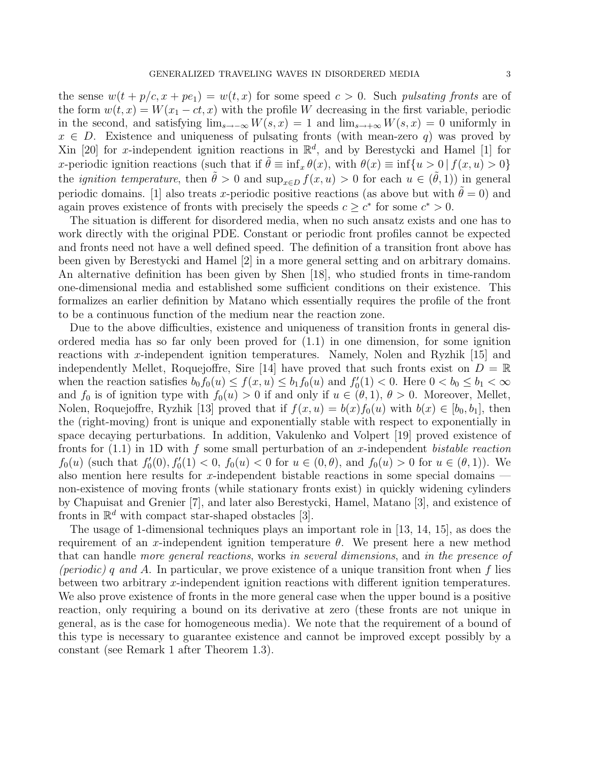the sense  $w(t + p/c, x + pe_1) = w(t, x)$  for some speed  $c > 0$ . Such *pulsating fronts* are of the form  $w(t, x) = W(x_1 - ct, x)$  with the profile W decreasing in the first variable, periodic in the second, and satisfying  $\lim_{s\to-\infty}W(s,x) = 1$  and  $\lim_{s\to+\infty}W(s,x) = 0$  uniformly in  $x \in D$ . Existence and uniqueness of pulsating fronts (with mean-zero q) was proved by Xin [20] for x-independent ignition reactions in  $\mathbb{R}^d$ , and by Berestycki and Hamel [1] for x-periodic ignition reactions (such that if  $\tilde{\theta} \equiv \inf_x \theta(x)$ , with  $\theta(x) \equiv \inf\{u > 0 \mid f(x, u) > 0\}$ the *ignition temperature*, then  $\tilde{\theta} > 0$  and  $\sup_{x \in D} f(x, u) > 0$  for each  $u \in (\tilde{\theta}, 1)$  in general periodic domains. [1] also treats x-periodic positive reactions (as above but with  $\hat{\theta} = 0$ ) and again proves existence of fronts with precisely the speeds  $c \geq c^*$  for some  $c^* > 0$ .

The situation is different for disordered media, when no such ansatz exists and one has to work directly with the original PDE. Constant or periodic front profiles cannot be expected and fronts need not have a well defined speed. The definition of a transition front above has been given by Berestycki and Hamel [2] in a more general setting and on arbitrary domains. An alternative definition has been given by Shen [18], who studied fronts in time-random one-dimensional media and established some sufficient conditions on their existence. This formalizes an earlier definition by Matano which essentially requires the profile of the front to be a continuous function of the medium near the reaction zone.

Due to the above difficulties, existence and uniqueness of transition fronts in general disordered media has so far only been proved for (1.1) in one dimension, for some ignition reactions with x-independent ignition temperatures. Namely, Nolen and Ryzhik [15] and independently Mellet, Roquejoffre, Sire [14] have proved that such fronts exist on  $D = \mathbb{R}$ when the reaction satisfies  $b_0 f_0(u) \le f(x, u) \le b_1 f_0(u)$  and  $f'_0(1) < 0$ . Here  $0 < b_0 \le b_1 < \infty$ and  $f_0$  is of ignition type with  $f_0(u) > 0$  if and only if  $u \in (\theta, 1)$ ,  $\theta > 0$ . Moreover, Mellet, Nolen, Roquejoffre, Ryzhik [13] proved that if  $f(x, u) = b(x) f_0(u)$  with  $b(x) \in [b_0, b_1]$ , then the (right-moving) front is unique and exponentially stable with respect to exponentially in space decaying perturbations. In addition, Vakulenko and Volpert [19] proved existence of fronts for (1.1) in 1D with f some small perturbation of an x-independent *bistable reaction*  $f_0(u)$  (such that  $f'_0(0), f'_0(1) < 0, f_0(u) < 0$  for  $u \in (0, \theta)$ , and  $f_0(u) > 0$  for  $u \in (\theta, 1)$ ). We also mention here results for x-independent bistable reactions in some special domains  $$ non-existence of moving fronts (while stationary fronts exist) in quickly widening cylinders by Chapuisat and Grenier [7], and later also Berestycki, Hamel, Matano [3], and existence of fronts in  $\mathbb{R}^d$  with compact star-shaped obstacles [3].

The usage of 1-dimensional techniques plays an important role in [13, 14, 15], as does the requirement of an x-independent ignition temperature  $\theta$ . We present here a new method that can handle *more general reactions*, works *in several dimensions*, and *in the presence of (periodic)* q *and* A. In particular, we prove existence of a unique transition front when f lies between two arbitrary x-independent ignition reactions with different ignition temperatures. We also prove existence of fronts in the more general case when the upper bound is a positive reaction, only requiring a bound on its derivative at zero (these fronts are not unique in general, as is the case for homogeneous media). We note that the requirement of a bound of this type is necessary to guarantee existence and cannot be improved except possibly by a constant (see Remark 1 after Theorem 1.3).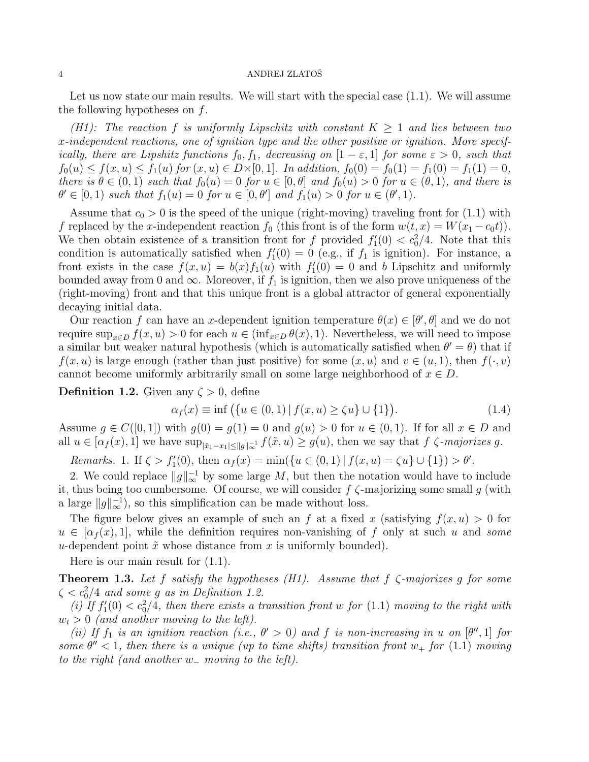Let us now state our main results. We will start with the special case  $(1.1)$ . We will assume the following hypotheses on  $f$ .

*(H1): The reaction* f *is uniformly Lipschitz with constant*  $K \geq 1$  *and lies between two* x*-independent reactions, one of ignition type and the other positive or ignition. More specifically, there are Lipshitz functions*  $f_0, f_1$ *, decreasing on*  $[1 - \varepsilon, 1]$  *for some*  $\varepsilon > 0$ *, such that*  $f_0(u) \le f(x, u) \le f_1(u)$  for  $(x, u) \in D \times [0, 1]$ *. In addition,*  $f_0(0) = f_0(1) = f_1(0) = f_1(1) = 0$ , *there is*  $\theta \in (0,1)$  *such that*  $f_0(u) = 0$  *for*  $u \in [0,\theta]$  *and*  $f_0(u) > 0$  *for*  $u \in (\theta,1)$ *, and there is*  $\theta' \in [0, 1)$  such that  $f_1(u) = 0$  for  $u \in [0, \theta']$  and  $f_1(u) > 0$  for  $u \in (\theta', 1)$ .

Assume that  $c_0 > 0$  is the speed of the unique (right-moving) traveling front for (1.1) with f replaced by the x-independent reaction  $f_0$  (this front is of the form  $w(t, x) = W(x_1 - c_0 t)$ ). We then obtain existence of a transition front for f provided  $f_1'(0) < c_0^2/4$ . Note that this condition is automatically satisfied when  $f'_{1}(0) = 0$  (e.g., if  $f_{1}$  is ignition). For instance, a front exists in the case  $f(x, u) = b(x) f_1(u)$  with  $f'_1(0) = 0$  and b Lipschitz and uniformly bounded away from 0 and  $\infty$ . Moreover, if  $f_1$  is ignition, then we also prove uniqueness of the (right-moving) front and that this unique front is a global attractor of general exponentially decaying initial data.

Our reaction f can have an x-dependent ignition temperature  $\theta(x) \in [\theta', \theta]$  and we do not require  $\sup_{x\in D} f(x, u) > 0$  for each  $u \in (\inf_{x\in D} \theta(x), 1)$ . Nevertheless, we will need to impose a similar but weaker natural hypothesis (which is automatically satisfied when  $\theta' = \theta$ ) that if  $f(x, u)$  is large enough (rather than just positive) for some  $(x, u)$  and  $v \in (u, 1)$ , then  $f(\cdot, v)$ cannot become uniformly arbitrarily small on some large neighborhood of  $x \in D$ .

**Definition 1.2.** Given any  $\zeta > 0$ , define

$$
\alpha_f(x) \equiv \inf \left( \{ u \in (0,1) \, | \, f(x,u) \ge \zeta u \} \cup \{1\} \right). \tag{1.4}
$$

Assume  $g \in C([0,1])$  with  $g(0) = g(1) = 0$  and  $g(u) > 0$  for  $u \in (0,1)$ . If for all  $x \in D$  and all  $u \in [\alpha_f(x), 1]$  we have  $\sup_{\|\tilde{x}_1 - x_1\| \le \|g\|_{\infty}^{-1}} f(\tilde{x}, u) \ge g(u)$ , then we say that  $f \subset \mathcal{S}$ -majorizes g.

*Remarks.* 1. If  $\zeta > f'_{1}(0)$ , then  $\alpha_{f}(x) = \min(\{u \in (0,1) | f(x,u) = \zeta u\} \cup \{1\}) > \theta'.$ 

2. We could replace  $||g||_{\infty}^{-1}$  by some large M, but then the notation would have to include it, thus being too cumbersome. Of course, we will consider  $f \zeta$ -majorizing some small g (with a large  $||g||_{\infty}^{-1}$ , so this simplification can be made without loss.

The figure below gives an example of such an f at a fixed x (satisfying  $f(x, u) > 0$  for  $u \in [\alpha_f(x), 1]$ , while the definition requires non-vanishing of f only at such u and *some* u-dependent point  $\tilde{x}$  whose distance from x is uniformly bounded).

Here is our main result for (1.1).

Theorem 1.3. *Let* f *satisfy the hypotheses (H1). Assume that* f ζ*-majorizes* g *for some*  $\zeta < c_0^2/4$  and some g as in Definition 1.2.

(*i)* If  $f_1'(0) < c_0^2/4$ , then there exists a transition front w for (1.1) moving to the right with  $w_t > 0$  (and another moving to the left).

*(ii)* If  $f_1$  *is an ignition reaction (i.e.,*  $\theta' > 0$ *) and*  $f$  *is non-increasing in*  $u$  *on*  $[\theta'', 1]$  *for some*  $\theta'' < 1$ , then there is a unique (up to time shifts) transition front  $w_+$  for (1.1) moving *to the right (and another* w<sup>−</sup> *moving to the left).*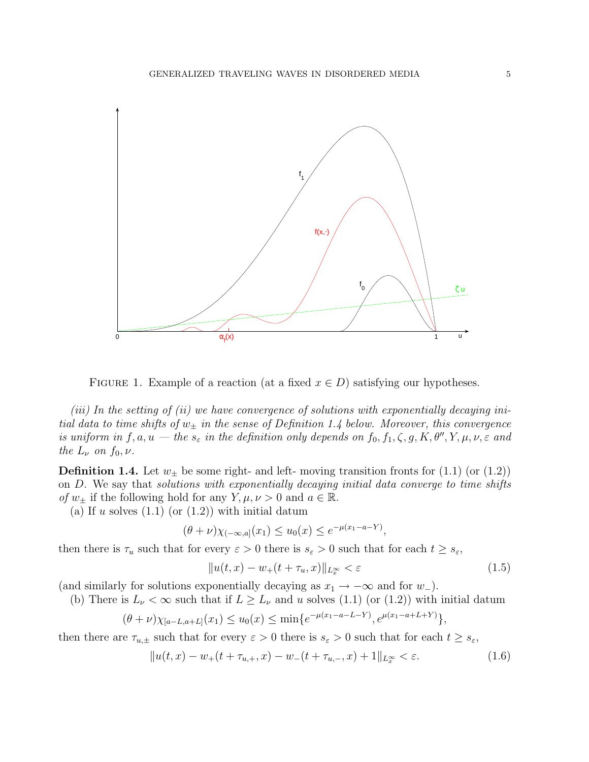

FIGURE 1. Example of a reaction (at a fixed  $x \in D$ ) satisfying our hypotheses.

*(iii) In the setting of (ii) we have convergence of solutions with exponentially decaying initial data to time shifts of*  $w_{\pm}$  *in the sense of Definition 1.4 below. Moreover, this convergence is uniform in*  $f, a, u \text{ -}$  *the*  $s_{\varepsilon}$  *in the definition only depends on*  $f_0, f_1, \zeta, g, K, \theta'', Y, \mu, \nu, \varepsilon$  and *the*  $L_{\nu}$  *on*  $f_0, \nu$ *.* 

**Definition 1.4.** Let  $w_{\pm}$  be some right- and left- moving transition fronts for (1.1) (or (1.2)) on D. We say that *solutions with exponentially decaying initial data converge to time shifts of*  $w_{\pm}$  if the following hold for any  $Y, \mu, \nu > 0$  and  $a \in \mathbb{R}$ .

(a) If u solves  $(1.1)$  (or  $(1.2)$ ) with initial datum

$$
(\theta + \nu)\chi_{(-\infty, a]}(x_1) \le u_0(x) \le e^{-\mu(x_1 - a - Y)},
$$

then there is  $\tau_u$  such that for every  $\varepsilon > 0$  there is  $s_{\varepsilon} > 0$  such that for each  $t \geq s_{\varepsilon}$ ,

$$
||u(t, x) - w_{+}(t + \tau_{u}, x)||_{L_{x}^{\infty}} < \varepsilon
$$
\n(1.5)

(and similarly for solutions exponentially decaying as  $x_1 \rightarrow -\infty$  and for  $w_$ ).

(b) There is  $L_{\nu} < \infty$  such that if  $L \ge L_{\nu}$  and u solves (1.1) (or (1.2)) with initial datum  $u(r_1-a+L+Y)$ 

$$
(\theta + \nu)\chi_{[a-L,a+L]}(x_1) \le u_0(x) \le \min\{e^{-\mu(x_1 - a - L - Y)}, e^{\mu(x_1 - a + L + Y)}\},\,
$$

then there are  $\tau_{u,\pm}$  such that for every  $\varepsilon > 0$  there is  $s_{\varepsilon} > 0$  such that for each  $t \geq s_{\varepsilon}$ ,

$$
||u(t,x) - w_{+}(t + \tau_{u,+},x) - w_{-}(t + \tau_{u,-},x) + 1||_{L_{x}^{\infty}} < \varepsilon.
$$
\n(1.6)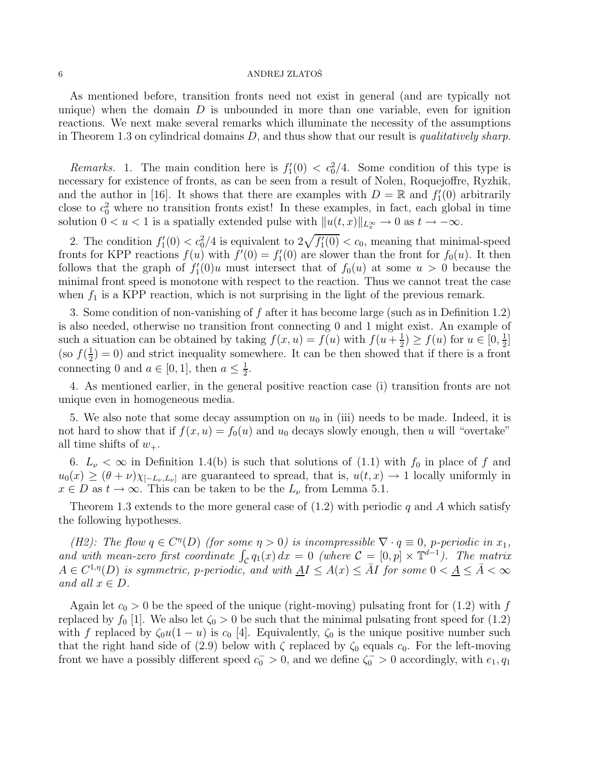As mentioned before, transition fronts need not exist in general (and are typically not unique) when the domain  $D$  is unbounded in more than one variable, even for ignition reactions. We next make several remarks which illuminate the necessity of the assumptions in Theorem 1.3 on cylindrical domains D, and thus show that our result is *qualitatively sharp*.

*Remarks.* 1. The main condition here is  $f_1'(0) < c_0^2/4$ . Some condition of this type is necessary for existence of fronts, as can be seen from a result of Nolen, Roquejoffre, Ryzhik, and the author in [16]. It shows that there are examples with  $D = \mathbb{R}$  and  $f'_1(0)$  arbitrarily close to  $c_0^2$  where no transition fronts exist! In these examples, in fact, each global in time solution  $0 < u < 1$  is a spatially extended pulse with  $||u(t, x)||_{L^{\infty}_{\infty}} \to 0$  as  $t \to -\infty$ .

2. The condition  $f_1'(0) < c_0^2/4$  is equivalent to  $2\sqrt{f_1'(0)} < c_0$ , meaning that minimal-speed fronts for KPP reactions  $f(u)$  with  $f'(0) = f'_1(0)$  are slower than the front for  $f_0(u)$ . It then follows that the graph of  $f_1'(0)u$  must intersect that of  $f_0(u)$  at some  $u > 0$  because the minimal front speed is monotone with respect to the reaction. Thus we cannot treat the case when  $f_1$  is a KPP reaction, which is not surprising in the light of the previous remark.

3. Some condition of non-vanishing of f after it has become large (such as in Definition 1.2) is also needed, otherwise no transition front connecting 0 and 1 might exist. An example of such a situation can be obtained by taking  $f(x, u) = f(u)$  with  $f(u + \frac{1}{2})$  $(\frac{1}{2}) \ge f(u)$  for  $u \in [0, \frac{1}{2}]$  $\frac{1}{2}$ ] (so  $f(\frac{1}{2})$  $\frac{1}{2}$  = 0) and strict inequality somewhere. It can be then showed that if there is a front connecting 0 and  $a \in [0,1]$ , then  $a \leq \frac{1}{2}$  $\frac{1}{2}$ .

4. As mentioned earlier, in the general positive reaction case (i) transition fronts are not unique even in homogeneous media.

5. We also note that some decay assumption on  $u_0$  in (iii) needs to be made. Indeed, it is not hard to show that if  $f(x, u) = f_0(u)$  and  $u_0$  decays slowly enough, then u will "overtake" all time shifts of  $w_+$ .

6.  $L_{\nu} < \infty$  in Definition 1.4(b) is such that solutions of (1.1) with  $f_0$  in place of f and  $u_0(x) \geq (\theta + \nu) \chi_{[-L_\nu,L_\nu]}$  are guaranteed to spread, that is,  $u(t,x) \to 1$  locally uniformly in  $x \in D$  as  $t \to \infty$ . This can be taken to be the  $L_{\nu}$  from Lemma 5.1.

Theorem 1.3 extends to the more general case of  $(1.2)$  with periodic q and A which satisfy the following hypotheses.

*(H2): The flow*  $q \in C^{n}(D)$  *(for some*  $\eta > 0$ *) is incompressible*  $\nabla \cdot q \equiv 0$ *, p-periodic in*  $x_1$ *,* and with mean-zero first coordinate  $\int_{\mathcal{C}} q_1(x) dx = 0$  (where  $\mathcal{C} = [0, p] \times \mathbb{T}^{d-1}$ ). The matrix  $A \in C^{1,\eta}(D)$  *is symmetric, p-periodic, and with*  $\underline{A}I \leq A(x) \leq \overline{A}I$  *for some*  $0 < \underline{A} \leq \overline{A} < \infty$ *and all*  $x \in D$ *.* 

Again let  $c_0 > 0$  be the speed of the unique (right-moving) pulsating front for (1.2) with f replaced by  $f_0$  [1]. We also let  $\zeta_0 > 0$  be such that the minimal pulsating front speed for (1.2) with f replaced by  $\zeta_0 u(1-u)$  is  $c_0$  [4]. Equivalently,  $\zeta_0$  is the unique positive number such that the right hand side of (2.9) below with  $\zeta$  replaced by  $\zeta_0$  equals  $c_0$ . For the left-moving front we have a possibly different speed  $c_0^- > 0$ , and we define  $\zeta_0^- > 0$  accordingly, with  $e_1, q_1$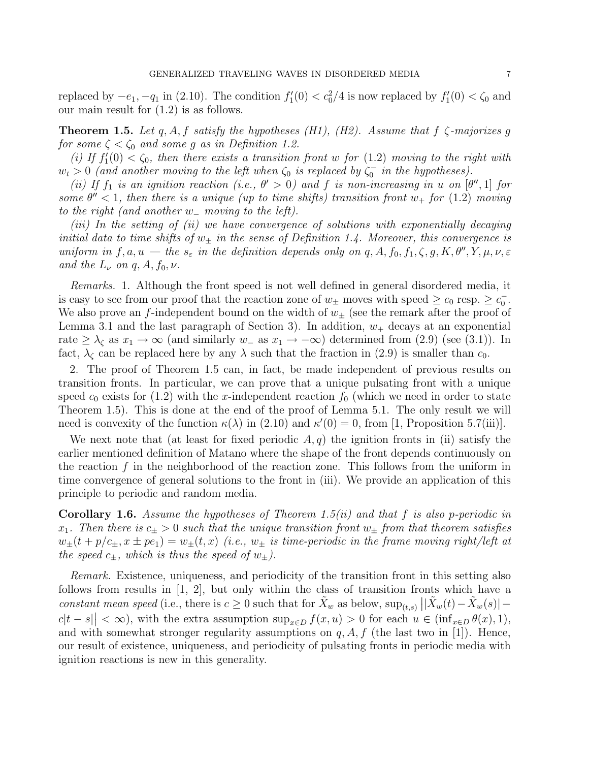replaced by  $-e_1$ ,  $-q_1$  in (2.10). The condition  $f_1'(0) < c_0^2/4$  is now replaced by  $f_1'(0) < \zeta_0$  and our main result for (1.2) is as follows.

Theorem 1.5. *Let* q, A, f *satisfy the hypotheses (H1), (H2). Assume that* f ζ*-majorizes* g *for some*  $\zeta < \zeta_0$  *and some* g *as in Definition 1.2.* 

(*i*) If  $f_1'(0) < \zeta_0$ , then there exists a transition front w for (1.2) moving to the right with  $w_t > 0$  (and another moving to the left when  $\zeta_0$  is replaced by  $\zeta_0^-$  in the hypotheses).

*(ii)* If  $f_1$  *is an ignition reaction (i.e.,*  $\theta' > 0$ ) and f *is non-increasing in* u on  $[\theta'', 1]$  for *some*  $\theta'' < 1$ , then there is a unique (up to time shifts) transition front  $w_+$  for (1.2) moving *to the right (and another* w<sup>−</sup> *moving to the left).*

*(iii) In the setting of (ii) we have convergence of solutions with exponentially decaying initial data to time shifts of*  $w_{\pm}$  *in the sense of Definition 1.4. Moreover, this convergence is uniform in*  $f, a, u$  – the  $s_{\varepsilon}$  *in the definition depends only on*  $q, A, f_0, f_1, \zeta, g, K, \theta'', Y, \mu, \nu, \varepsilon$ *and the*  $L_{\nu}$  *on*  $q$ ,  $A$ ,  $f_0$ ,  $\nu$ .

*Remarks.* 1. Although the front speed is not well defined in general disordered media, it is easy to see from our proof that the reaction zone of  $w_{\pm}$  moves with speed  $\geq c_0$  resp.  $\geq c_0^-$ . We also prove an f-independent bound on the width of  $w_{\pm}$  (see the remark after the proof of Lemma 3.1 and the last paragraph of Section 3). In addition,  $w_+$  decays at an exponential rate  $\geq \lambda_{\zeta}$  as  $x_1 \to \infty$  (and similarly  $w_-\$ as  $x_1 \to -\infty$ ) determined from (2.9) (see (3.1)). In fact,  $\lambda_{\zeta}$  can be replaced here by any  $\lambda$  such that the fraction in (2.9) is smaller than  $c_0$ .

2. The proof of Theorem 1.5 can, in fact, be made independent of previous results on transition fronts. In particular, we can prove that a unique pulsating front with a unique speed  $c_0$  exists for (1.2) with the x-independent reaction  $f_0$  (which we need in order to state Theorem 1.5). This is done at the end of the proof of Lemma 5.1. The only result we will need is convexity of the function  $\kappa(\lambda)$  in (2.10) and  $\kappa'(0) = 0$ , from [1, Proposition 5.7(iii)].

We next note that (at least for fixed periodic  $A, q$ ) the ignition fronts in (ii) satisfy the earlier mentioned definition of Matano where the shape of the front depends continuously on the reaction  $f$  in the neighborhood of the reaction zone. This follows from the uniform in time convergence of general solutions to the front in (iii). We provide an application of this principle to periodic and random media.

Corollary 1.6. *Assume the hypotheses of Theorem 1.5(ii) and that* f *is also* p*-periodic in*  $x_1$ . Then there is  $c_{\pm} > 0$  such that the unique transition front  $w_{\pm}$  from that theorem satisfies  $w_{\pm}(t+p/c_{\pm}, x \pm pe_1) = w_{\pm}(t, x)$  *(i.e.,*  $w_{\pm}$  *is time-periodic in the frame moving right/left at the speed*  $c_{\pm}$ *, which is thus the speed of*  $w_{\pm}$ *).* 

*Remark.* Existence, uniqueness, and periodicity of the transition front in this setting also follows from results in [1, 2], but only within the class of transition fronts which have a constant mean speed (i.e., there is  $c \geq 0$  such that for  $\tilde{X}_w$  as below,  $\sup_{(t,s)} \left| |\tilde{X}_w(t) - \tilde{X}_w(s)|$  $c|t-s| < \infty$ , with the extra assumption  $\sup_{x \in D} f(x, u) > 0$  for each  $u \in (\inf_{x \in D} \theta(x), 1)$ , and with somewhat stronger regularity assumptions on  $q, A, f$  (the last two in [1]). Hence, our result of existence, uniqueness, and periodicity of pulsating fronts in periodic media with ignition reactions is new in this generality.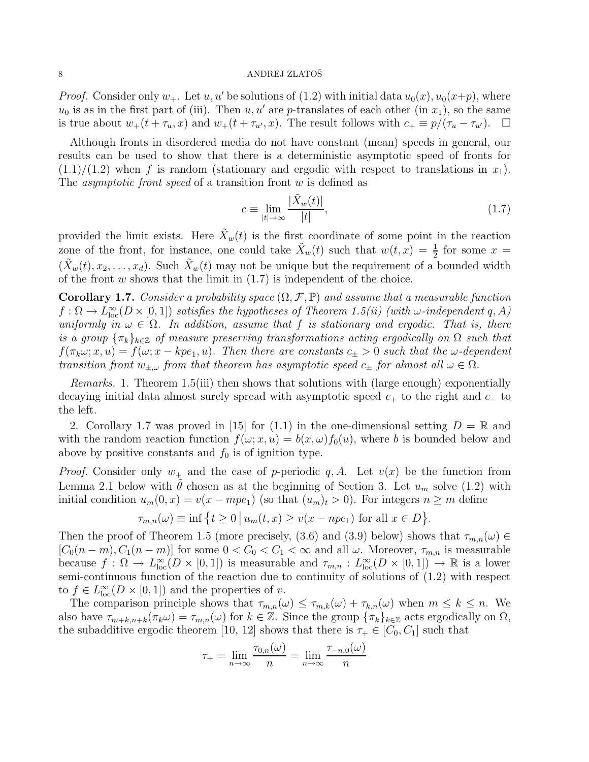*Proof.* Consider only  $w_+$ . Let  $u, u'$  be solutions of (1.2) with initial data  $u_0(x), u_0(x+p)$ , where  $u_0$  is as in the first part of (iii). Then  $u, u'$  are p-translates of each other (in  $x_1$ ), so the same is true about  $w_+(t + \tau_u, x)$  and  $w_+(t + \tau_{u'}, x)$ . The result follows with  $c_+ \equiv p/(\tau_u - \tau_{u'})$ .  $\Box$ 

Although fronts in disordered media do not have constant (mean) speeds in general, our results can be used to show that there is a deterministic asymptotic speed of fronts for  $(1.1)/(1.2)$  when f is random (stationary and ergodic with respect to translations in  $x_1$ ). The *asymptotic front speed* of a transition front w is defined as

$$
c \equiv \lim_{|t| \to \infty} \frac{|\tilde{X}_w(t)|}{|t|},\tag{1.7}
$$

provided the limit exists. Here  $\tilde{X}_w(t)$  is the first coordinate of some point in the reaction zone of the front, for instance, one could take  $\tilde{X}_w(t)$  such that  $w(t,x) = \frac{1}{2}$  for some  $x =$  $(\tilde{X}_w(t), x_2, \ldots, x_d)$ . Such  $\tilde{X}_w(t)$  may not be unique but the requirement of a bounded width of the front  $w$  shows that the limit in  $(1.7)$  is independent of the choice.

**Corollary 1.7.** *Consider a probability space*  $(\Omega, \mathcal{F}, \mathbb{P})$  *and assume that a measurable function*  $f: \Omega \to L^{\infty}_{loc}(D\times [0,1])$  *satisfies the hypotheses of Theorem 1.5(ii) (with*  $\omega$ -independent q, A) *uniformly in*  $\omega \in \Omega$ . In addition, assume that f is stationary and ergodic. That is, there *is a group*  $\{\pi_k\}_{k\in\mathbb{Z}}$  *of measure preserving transformations acting ergodically on*  $\Omega$  *such that*  $f(\pi_k \omega; x, u) = f(\omega; x - kpe_1, u)$ . Then there are constants  $c_{\pm} > 0$  such that the  $\omega$ -dependent *transition front*  $w_{\pm,\omega}$  *from that theorem has asymptotic speed*  $c_{\pm}$  *for almost all*  $\omega \in \Omega$ *.* 

*Remarks.* 1. Theorem 1.5(iii) then shows that solutions with (large enough) exponentially decaying initial data almost surely spread with asymptotic speed  $c_{+}$  to the right and  $c_{-}$  to the left.

2. Corollary 1.7 was proved in [15] for (1.1) in the one-dimensional setting  $D = \mathbb{R}$  and with the random reaction function  $f(\omega; x, u) = b(x, \omega) f_0(u)$ , where b is bounded below and above by positive constants and  $f_0$  is of ignition type.

*Proof.* Consider only  $w_+$  and the case of p-periodic q, A. Let  $v(x)$  be the function from Lemma 2.1 below with  $\theta$  chosen as at the beginning of Section 3. Let  $u_m$  solve (1.2) with initial condition  $u_m(0, x) = v(x - mpe_1)$  (so that  $(u_m)_t > 0$ ). For integers  $n \ge m$  define

$$
\tau_{m,n}(\omega) \equiv \inf \left\{ t \ge 0 \, \big| \, u_m(t,x) \ge v(x-npe_1) \text{ for all } x \in D \right\}.
$$

Then the proof of Theorem 1.5 (more precisely, (3.6) and (3.9) below) shows that  $\tau_{m,n}(\omega) \in$  $[C_0(n-m), C_1(n-m)]$  for some  $0 < C_0 < C_1 < \infty$  and all  $\omega$ . Moreover,  $\tau_{m,n}$  is measurable because  $f: \Omega \to L^{\infty}_{loc}(D \times [0,1])$  is measurable and  $\tau_{m,n}: L^{\infty}_{loc}(D \times [0,1]) \to \mathbb{R}$  is a lower semi-continuous function of the reaction due to continuity of solutions of (1.2) with respect to  $f \in L^{\infty}_{loc}(D \times [0,1])$  and the properties of v.

The comparison principle shows that  $\tau_{m,n}(\omega) \leq \tau_{m,k}(\omega) + \tau_{k,n}(\omega)$  when  $m \leq k \leq n$ . We also have  $\tau_{m+k,n+k}(\pi_k \omega) = \tau_{m,n}(\omega)$  for  $k \in \mathbb{Z}$ . Since the group  $\{\pi_k\}_{k \in \mathbb{Z}}$  acts ergodically on  $\Omega$ , the subadditive ergodic theorem [10, 12] shows that there is  $\tau_+ \in [C_0, C_1]$  such that

$$
\tau_{+} = \lim_{n \to \infty} \frac{\tau_{0,n}(\omega)}{n} = \lim_{n \to \infty} \frac{\tau_{-n,0}(\omega)}{n}
$$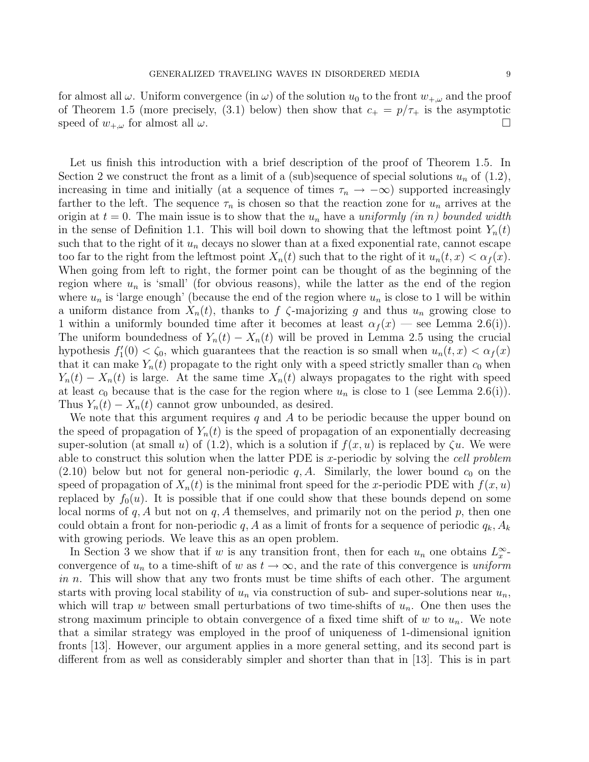for almost all  $\omega$ . Uniform convergence (in  $\omega$ ) of the solution  $u_0$  to the front  $w_{+\omega}$  and the proof of Theorem 1.5 (more precisely, (3.1) below) then show that  $c_+ = p/\tau_+$  is the asymptotic speed of  $w_{+,\omega}$  for almost all  $\omega$ .

Let us finish this introduction with a brief description of the proof of Theorem 1.5. In Section 2 we construct the front as a limit of a (sub)sequence of special solutions  $u_n$  of (1.2), increasing in time and initially (at a sequence of times  $\tau_n \to -\infty$ ) supported increasingly farther to the left. The sequence  $\tau_n$  is chosen so that the reaction zone for  $u_n$  arrives at the origin at  $t = 0$ . The main issue is to show that the  $u_n$  have a *uniformly (in n)* bounded width in the sense of Definition 1.1. This will boil down to showing that the leftmost point  $Y_n(t)$ such that to the right of it  $u_n$  decays no slower than at a fixed exponential rate, cannot escape too far to the right from the leftmost point  $X_n(t)$  such that to the right of it  $u_n(t, x) < \alpha_f(x)$ . When going from left to right, the former point can be thought of as the beginning of the region where  $u_n$  is 'small' (for obvious reasons), while the latter as the end of the region where  $u_n$  is 'large enough' (because the end of the region where  $u_n$  is close to 1 will be within a uniform distance from  $X_n(t)$ , thanks to f  $\zeta$ -majorizing g and thus  $u_n$  growing close to 1 within a uniformly bounded time after it becomes at least  $\alpha_f(x)$  — see Lemma 2.6(i)). The uniform boundedness of  $Y_n(t) - X_n(t)$  will be proved in Lemma 2.5 using the crucial hypothesis  $f_1'(0) < \zeta_0$ , which guarantees that the reaction is so small when  $u_n(t, x) < \alpha_f(x)$ that it can make  $Y_n(t)$  propagate to the right only with a speed strictly smaller than  $c_0$  when  $Y_n(t) - X_n(t)$  is large. At the same time  $X_n(t)$  always propagates to the right with speed at least  $c_0$  because that is the case for the region where  $u_n$  is close to 1 (see Lemma 2.6(i)). Thus  $Y_n(t) - X_n(t)$  cannot grow unbounded, as desired.

We note that this argument requires  $q$  and  $A$  to be periodic because the upper bound on the speed of propagation of  $Y_n(t)$  is the speed of propagation of an exponentially decreasing super-solution (at small u) of (1.2), which is a solution if  $f(x, u)$  is replaced by  $\zeta u$ . We were able to construct this solution when the latter PDE is x-periodic by solving the *cell problem*  $(2.10)$  below but not for general non-periodic q, A. Similarly, the lower bound  $c_0$  on the speed of propagation of  $X_n(t)$  is the minimal front speed for the x-periodic PDE with  $f(x, u)$ replaced by  $f_0(u)$ . It is possible that if one could show that these bounds depend on some local norms of  $q, A$  but not on  $q, A$  themselves, and primarily not on the period p, then one could obtain a front for non-periodic q, A as a limit of fronts for a sequence of periodic  $q_k$ ,  $A_k$ with growing periods. We leave this as an open problem.

In Section 3 we show that if w is any transition front, then for each  $u_n$  one obtains  $L_x^{\infty}$ . convergence of  $u_n$  to a time-shift of w as  $t \to \infty$ , and the rate of this convergence is *uniform in* n. This will show that any two fronts must be time shifts of each other. The argument starts with proving local stability of  $u_n$  via construction of sub- and super-solutions near  $u_n$ , which will trap w between small perturbations of two time-shifts of  $u_n$ . One then uses the strong maximum principle to obtain convergence of a fixed time shift of w to  $u_n$ . We note that a similar strategy was employed in the proof of uniqueness of 1-dimensional ignition fronts [13]. However, our argument applies in a more general setting, and its second part is different from as well as considerably simpler and shorter than that in [13]. This is in part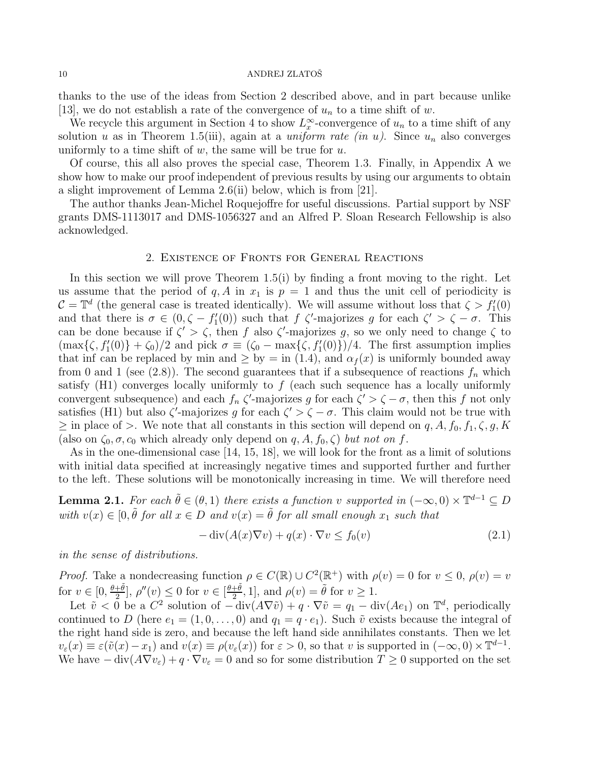thanks to the use of the ideas from Section 2 described above, and in part because unlike [13], we do not establish a rate of the convergence of  $u_n$  to a time shift of w.

We recycle this argument in Section 4 to show  $L_x^{\infty}$ -convergence of  $u_n$  to a time shift of any solution u as in Theorem 1.5(iii), again at a *uniform rate (in u)*. Since  $u_n$  also converges uniformly to a time shift of  $w$ , the same will be true for  $u$ .

Of course, this all also proves the special case, Theorem 1.3. Finally, in Appendix A we show how to make our proof independent of previous results by using our arguments to obtain a slight improvement of Lemma 2.6(ii) below, which is from [21].

The author thanks Jean-Michel Roquejoffre for useful discussions. Partial support by NSF grants DMS-1113017 and DMS-1056327 and an Alfred P. Sloan Research Fellowship is also acknowledged.

### 2. Existence of Fronts for General Reactions

In this section we will prove Theorem  $1.5(i)$  by finding a front moving to the right. Let us assume that the period of q, A in  $x_1$  is  $p = 1$  and thus the unit cell of periodicity is  $C = \mathbb{T}^d$  (the general case is treated identically). We will assume without loss that  $\zeta > f'_1(0)$ and that there is  $\sigma \in (0, \zeta - f_1'(0))$  such that f  $\zeta'$ -majorizes g for each  $\zeta' > \zeta - \sigma$ . This can be done because if  $\zeta' > \zeta$ , then f also  $\zeta'$ -majorizes g, so we only need to change  $\zeta$  to  $(\max\{\zeta, f'_{1}(0)\} + \zeta_{0})/2$  and pick  $\sigma \equiv (\zeta_{0} - \max\{\zeta, f'_{1}(0)\})/4$ . The first assumption implies that inf can be replaced by min and  $\geq$  by = in (1.4), and  $\alpha_f(x)$  is uniformly bounded away from 0 and 1 (see (2.8)). The second guarantees that if a subsequence of reactions  $f_n$  which satisfy  $(H1)$  converges locally uniformly to f (each such sequence has a locally uniformly convergent subsequence) and each  $f_n \zeta'$ -majorizes g for each  $\zeta' > \zeta - \sigma$ , then this f not only satisfies (H1) but also  $\zeta'$ -majorizes g for each  $\zeta' > \zeta - \sigma$ . This claim would not be true with  $\geq$  in place of  $>$ . We note that all constants in this section will depend on q, A,  $f_0$ ,  $f_1$ ,  $\zeta$ , g, K (also on  $\zeta_0$ ,  $\sigma$ ,  $c_0$  which already only depend on q, A,  $f_0$ ,  $\zeta$ ) *but not on* f.

As in the one-dimensional case [14, 15, 18], we will look for the front as a limit of solutions with initial data specified at increasingly negative times and supported further and further to the left. These solutions will be monotonically increasing in time. We will therefore need

**Lemma 2.1.** For each  $\tilde{\theta} \in (\theta, 1)$  there exists a function v supported in  $(-\infty, 0) \times \mathbb{T}^{d-1} \subseteq D$  $with v(x) \in [0, \tilde{\theta} \text{ for all } x \in D \text{ and } v(x) = \tilde{\theta} \text{ for all small enough } x_1 \text{ such that }$ 

$$
-\operatorname{div}(A(x)\nabla v) + q(x) \cdot \nabla v \le f_0(v) \tag{2.1}
$$

*in the sense of distributions.*

*Proof.* Take a nondecreasing function  $\rho \in C(\mathbb{R}) \cup C^2(\mathbb{R}^+)$  with  $\rho(v) = 0$  for  $v \leq 0$ ,  $\rho(v) = v$ for  $v \in [0, \frac{\theta + \tilde{\theta}}{2}]$  $\frac{1+\tilde{\theta}}{2}$ ,  $\rho''(v) \leq 0$  for  $v \in \left[\frac{\theta+\tilde{\theta}}{2}\right]$  $\frac{1+\tilde{\theta}}{2}$ , 1], and  $\rho(v) = \tilde{\theta}$  for  $v \ge 1$ .

Let  $\tilde{v} < 0$  be a  $C^2$  solution of  $-\text{div}(A\nabla \tilde{v}) + q \cdot \nabla \tilde{v} = q_1 - \text{div}(Ae_1)$  on  $\mathbb{T}^d$ , periodically continued to D (here  $e_1 = (1, 0, \ldots, 0)$  and  $q_1 = q \cdot e_1$ ). Such  $\tilde{v}$  exists because the integral of the right hand side is zero, and because the left hand side annihilates constants. Then we let  $v_{\varepsilon}(x) \equiv \varepsilon(\tilde{v}(x) - x_1)$  and  $v(x) \equiv \rho(v_{\varepsilon}(x))$  for  $\varepsilon > 0$ , so that v is supported in  $(-\infty, 0) \times \mathbb{T}^{d-1}$ . We have  $-\text{div}(A\nabla v_{\varepsilon})+q\cdot\nabla v_{\varepsilon}=0$  and so for some distribution  $T\geq 0$  supported on the set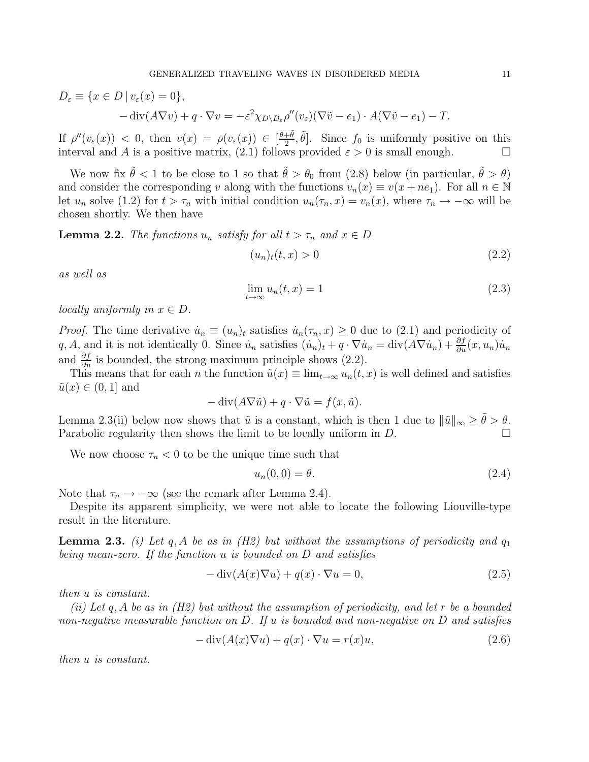$$
D_{\varepsilon} \equiv \{ x \in D \mid v_{\varepsilon}(x) = 0 \},
$$
  
- div $(A \nabla v) + q \cdot \nabla v = -\varepsilon^2 \chi_{D \setminus D_{\varepsilon}} \rho''(v_{\varepsilon}) (\nabla \tilde{v} - e_1) \cdot A(\nabla \tilde{v} - e_1) - T.$ 

If  $\rho''(v_\varepsilon(x)) < 0$ , then  $v(x) = \rho(v_\varepsilon(x)) \in \left[\frac{\theta + \tilde{\theta}}{2}\right]$  $\frac{1}{2}$ ,  $\tilde{\theta}$ . Since  $f_0$  is uniformly positive on this interval and A is a positive matrix, (2.1) follows provided  $\varepsilon > 0$  is small enough.

We now fix  $\tilde{\theta} < 1$  to be close to 1 so that  $\tilde{\theta} > \theta_0$  from (2.8) below (in particular,  $\tilde{\theta} > \theta$ ) and consider the corresponding v along with the functions  $v_n(x) \equiv v(x + ne_1)$ . For all  $n \in \mathbb{N}$ let  $u_n$  solve (1.2) for  $t > \tau_n$  with initial condition  $u_n(\tau_n, x) = v_n(x)$ , where  $\tau_n \to -\infty$  will be chosen shortly. We then have

**Lemma 2.2.** *The functions*  $u_n$  *satisfy for all*  $t > \tau_n$  *and*  $x \in D$ 

$$
(u_n)_t(t,x) > 0 \tag{2.2}
$$

*as well as*

$$
\lim_{t \to \infty} u_n(t, x) = 1 \tag{2.3}
$$

*locally uniformly in*  $x \in D$ .

*Proof.* The time derivative  $\dot{u}_n \equiv (u_n)_t$  satisfies  $\dot{u}_n(\tau_n, x) \geq 0$  due to (2.1) and periodicity of q, A, and it is not identically 0. Since  $\dot{u}_n$  satisfies  $(\dot{u}_n)_t + q \cdot \nabla \dot{u}_n = \text{div}(A \nabla \dot{u}_n) + \frac{\partial f}{\partial u}(x, u_n) \dot{u}_n$ and  $\frac{\partial f}{\partial u}$  is bounded, the strong maximum principle shows (2.2).

This means that for each n the function  $\tilde{u}(x) \equiv \lim_{t \to \infty} u_n(t, x)$  is well defined and satisfies  $\tilde{u}(x) \in (0,1]$  and

$$
-\operatorname{div}(A\nabla \tilde{u}) + q \cdot \nabla \tilde{u} = f(x, \tilde{u}).
$$

Lemma 2.3(ii) below now shows that  $\tilde{u}$  is a constant, which is then 1 due to  $\|\tilde{u}\|_{\infty} \geq \theta > \theta$ . Parabolic regularity then shows the limit to be locally uniform in D.

We now choose  $\tau_n < 0$  to be the unique time such that

$$
u_n(0,0) = \theta. \tag{2.4}
$$

Note that  $\tau_n \to -\infty$  (see the remark after Lemma 2.4).

Despite its apparent simplicity, we were not able to locate the following Liouville-type result in the literature.

**Lemma 2.3.** *(i) Let* q, A *be as in (H2) but without the assumptions of periodicity and*  $q_1$ *being mean-zero. If the function* u *is bounded on* D *and satisfies*

$$
-\operatorname{div}(A(x)\nabla u) + q(x) \cdot \nabla u = 0,\tag{2.5}
$$

*then* u *is constant.*

*(ii) Let* q, A *be as in (H2) but without the assumption of periodicity, and let* r *be a bounded non-negative measurable function on* D*. If* u *is bounded and non-negative on* D *and satisfies*

$$
-\operatorname{div}(A(x)\nabla u) + q(x) \cdot \nabla u = r(x)u,\tag{2.6}
$$

*then* u *is constant.*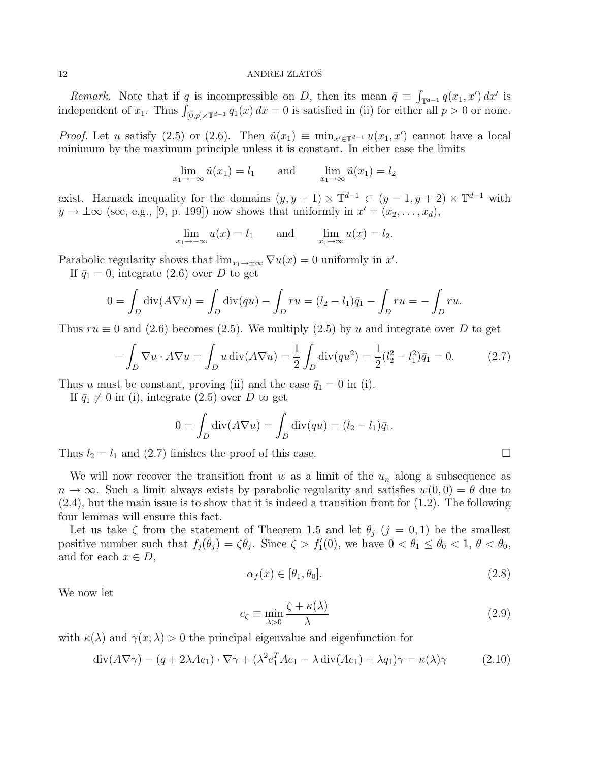*Remark.* Note that if q is incompressible on D, then its mean  $\bar{q} \equiv \int_{\mathbb{T}^{d-1}} q(x_1, x') dx'$  is independent of  $x_1$ . Thus  $\int_{[0,p]\times\mathbb{T}^{d-1}} q_1(x) dx = 0$  is satisfied in (ii) for either all  $p > 0$  or none.

*Proof.* Let u satisfy (2.5) or (2.6). Then  $\tilde{u}(x_1) \equiv \min_{x' \in \mathbb{T}^{d-1}} u(x_1, x')$  cannot have a local minimum by the maximum principle unless it is constant. In either case the limits

$$
\lim_{x_1 \to -\infty} \tilde{u}(x_1) = l_1 \quad \text{and} \quad \lim_{x_1 \to \infty} \tilde{u}(x_1) = l_2
$$

exist. Harnack inequality for the domains  $(y, y + 1) \times \mathbb{T}^{d-1} \subset (y - 1, y + 2) \times \mathbb{T}^{d-1}$  with  $y \to \pm \infty$  (see, e.g., [9, p. 199]) now shows that uniformly in  $x' = (x_2, \ldots, x_d)$ ,

$$
\lim_{x_1 \to -\infty} u(x) = l_1 \quad \text{and} \quad \lim_{x_1 \to \infty} u(x) = l_2.
$$

Parabolic regularity shows that  $\lim_{x_1 \to \pm \infty} \nabla u(x) = 0$  uniformly in x'.

If  $\bar{q}_1 = 0$ , integrate (2.6) over D to get

$$
0 = \int_D \text{div}(A\nabla u) = \int_D \text{div}(qu) - \int_D ru = (l_2 - l_1)\bar{q}_1 - \int_D ru = -\int_D ru.
$$

Thus  $ru \equiv 0$  and (2.6) becomes (2.5). We multiply (2.5) by u and integrate over D to get

$$
-\int_D \nabla u \cdot A \nabla u = \int_D u \operatorname{div}(A \nabla u) = \frac{1}{2} \int_D \operatorname{div}(qu^2) = \frac{1}{2} (l_2^2 - l_1^2) \bar{q}_1 = 0. \tag{2.7}
$$

Thus u must be constant, proving (ii) and the case  $\bar{q}_1 = 0$  in (i).

If  $\bar{q}_1 \neq 0$  in (i), integrate (2.5) over D to get

$$
0 = \int_D \operatorname{div}(A\nabla u) = \int_D \operatorname{div}(qu) = (l_2 - l_1)\overline{q}_1.
$$

Thus  $l_2 = l_1$  and (2.7) finishes the proof of this case.

We will now recover the transition front  $w$  as a limit of the  $u_n$  along a subsequence as  $n \to \infty$ . Such a limit always exists by parabolic regularity and satisfies  $w(0,0) = \theta$  due to  $(2.4)$ , but the main issue is to show that it is indeed a transition front for  $(1.2)$ . The following four lemmas will ensure this fact.

Let us take  $\zeta$  from the statement of Theorem 1.5 and let  $\theta_i$   $(j = 0, 1)$  be the smallest positive number such that  $f_j(\theta_j) = \zeta \theta_j$ . Since  $\zeta > f'_1(0)$ , we have  $0 < \theta_1 \le \theta_0 < 1$ ,  $\theta < \theta_0$ , and for each  $x \in D$ ,

$$
\alpha_f(x) \in [\theta_1, \theta_0].\tag{2.8}
$$

We now let

$$
c_{\zeta} \equiv \min_{\lambda > 0} \frac{\zeta + \kappa(\lambda)}{\lambda} \tag{2.9}
$$

with  $\kappa(\lambda)$  and  $\gamma(x;\lambda) > 0$  the principal eigenvalue and eigenfunction for

$$
\operatorname{div}(A\nabla\gamma) - (q + 2\lambda Ae_1) \cdot \nabla\gamma + (\lambda^2 e_1^T Ae_1 - \lambda \operatorname{div}(Ae_1) + \lambda q_1)\gamma = \kappa(\lambda)\gamma \tag{2.10}
$$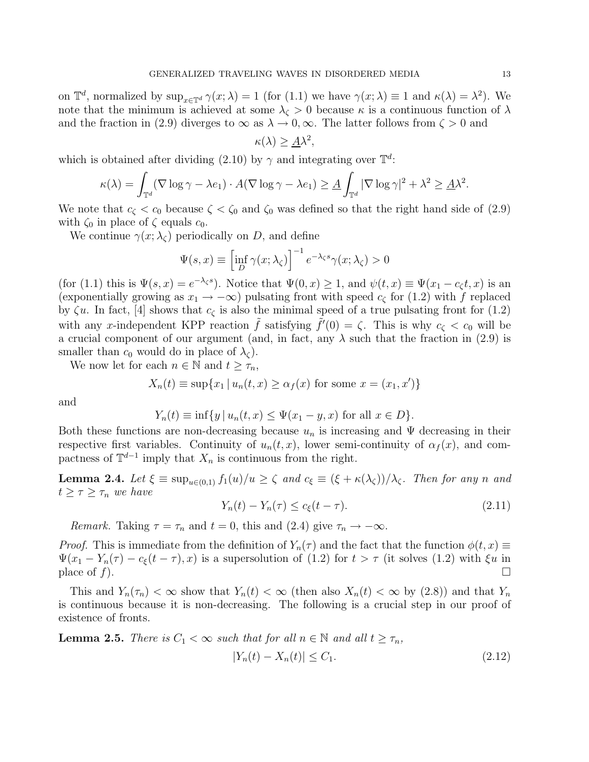on  $\mathbb{T}^d$ , normalized by  $\sup_{x \in \mathbb{T}^d} \gamma(x; \lambda) = 1$  (for  $(1.1)$  we have  $\gamma(x; \lambda) \equiv 1$  and  $\kappa(\lambda) = \lambda^2$ ). We note that the minimum is achieved at some  $\lambda_{\zeta} > 0$  because  $\kappa$  is a continuous function of  $\lambda$ and the fraction in (2.9) diverges to  $\infty$  as  $\lambda \to 0$ ,  $\infty$ . The latter follows from  $\zeta > 0$  and

$$
\kappa(\lambda) \ge \underline{A}\lambda^2,
$$

which is obtained after dividing (2.10) by  $\gamma$  and integrating over  $\mathbb{T}^d$ :

$$
\kappa(\lambda) = \int_{\mathbb{T}^d} (\nabla \log \gamma - \lambda e_1) \cdot A(\nabla \log \gamma - \lambda e_1) \geq \underline{A} \int_{\mathbb{T}^d} |\nabla \log \gamma|^2 + \lambda^2 \geq \underline{A} \lambda^2.
$$

We note that  $c_{\zeta} < c_0$  because  $\zeta < \zeta_0$  and  $\zeta_0$  was defined so that the right hand side of (2.9) with  $\zeta_0$  in place of  $\zeta$  equals  $c_0$ .

We continue  $\gamma(x; \lambda_c)$  periodically on D, and define

$$
\Psi(s,x) \equiv \left[\inf_D \gamma(x;\lambda_\zeta)\right]^{-1} e^{-\lambda_\zeta s} \gamma(x;\lambda_\zeta) > 0
$$

(for (1.1) this is  $\Psi(s, x) = e^{-\lambda_{\zeta}s}$ ). Notice that  $\Psi(0, x) \geq 1$ , and  $\psi(t, x) \equiv \Psi(x_1 - c_{\zeta}t, x)$  is an (exponentially growing as  $x_1 \to -\infty$ ) pulsating front with speed  $c_{\zeta}$  for (1.2) with f replaced by  $\zeta u$ . In fact, [4] shows that  $c_{\zeta}$  is also the minimal speed of a true pulsating front for (1.2) with any x-independent KPP reaction  $\tilde{f}$  satisfying  $\tilde{f}'(0) = \zeta$ . This is why  $c_{\zeta} < c_0$  will be a crucial component of our argument (and, in fact, any  $\lambda$  such that the fraction in (2.9) is smaller than  $c_0$  would do in place of  $\lambda_c$ ).

We now let for each  $n \in \mathbb{N}$  and  $t \geq \tau_n$ ,

$$
X_n(t) \equiv \sup\{x_1 \mid u_n(t,x) \ge \alpha_f(x) \text{ for some } x = (x_1, x')\}
$$

and

$$
Y_n(t) \equiv \inf \{ y \mid u_n(t, x) \le \Psi(x_1 - y, x) \text{ for all } x \in D \}.
$$

Both these functions are non-decreasing because  $u_n$  is increasing and  $\Psi$  decreasing in their respective first variables. Continuity of  $u_n(t, x)$ , lower semi-continuity of  $\alpha_f(x)$ , and compactness of  $\mathbb{T}^{d-1}$  imply that  $X_n$  is continuous from the right.

**Lemma 2.4.** Let  $\xi \equiv \sup_{u \in (0,1)} f_1(u)/u \geq \zeta$  and  $c_{\xi} \equiv (\xi + \kappa(\lambda_{\zeta}))/\lambda_{\zeta}$ . Then for any n and  $t \geq \tau \geq \tau_n$  *we have* 

$$
Y_n(t) - Y_n(\tau) \le c_\xi(t - \tau). \tag{2.11}
$$

*Remark.* Taking  $\tau = \tau_n$  and  $t = 0$ , this and (2.4) give  $\tau_n \to -\infty$ .

*Proof.* This is immediate from the definition of  $Y_n(\tau)$  and the fact that the function  $\phi(t, x) \equiv$  $\Psi(x_1 - Y_n(\tau) - c_{\xi}(t-\tau), x)$  is a supersolution of (1.2) for  $t > \tau$  (it solves (1.2) with  $\xi u$  in place of f).

This and  $Y_n(\tau_n) < \infty$  show that  $Y_n(t) < \infty$  (then also  $X_n(t) < \infty$  by  $(2.8)$ ) and that  $Y_n$ is continuous because it is non-decreasing. The following is a crucial step in our proof of existence of fronts.

**Lemma 2.5.** *There is*  $C_1 < \infty$  *such that for all*  $n \in \mathbb{N}$  *and all*  $t \geq \tau_n$ *,* 

$$
|Y_n(t) - X_n(t)| \le C_1. \tag{2.12}
$$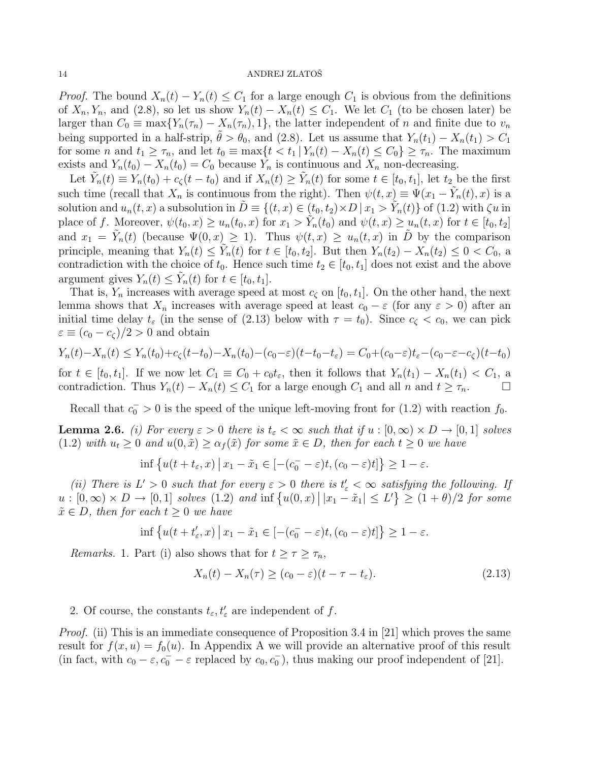*Proof.* The bound  $X_n(t) - Y_n(t) \leq C_1$  for a large enough  $C_1$  is obvious from the definitions of  $X_n, Y_n$ , and (2.8), so let us show  $Y_n(t) - X_n(t) \leq C_1$ . We let  $C_1$  (to be chosen later) be larger than  $C_0 \equiv \max\{Y_n(\tau_n) - X_n(\tau_n), 1\}$ , the latter independent of n and finite due to  $v_n$ being supported in a half-strip,  $\theta > \theta_0$ , and (2.8). Let us assume that  $Y_n(t_1) - X_n(t_1) > C_1$ for some n and  $t_1 \geq \tau_n$ , and let  $t_0 \equiv \max\{t < t_1 | Y_n(t) - X_n(t) \leq C_0\} \geq \tau_n$ . The maximum exists and  $Y_n(t_0) - X_n(t_0) = C_0$  because  $Y_n$  is continuous and  $X_n$  non-decreasing.

Let  $\tilde{Y}_n(t) \equiv Y_n(t_0) + c_\zeta(t-t_0)$  and if  $X_n(t) \ge \tilde{Y}_n(t)$  for some  $t \in [t_0, t_1]$ , let  $t_2$  be the first such time (recall that  $X_n$  is continuous from the right). Then  $\psi(t,x) \equiv \Psi(x_1 - \tilde{Y}_n(t),x)$  is a solution and  $u_n(t, x)$  a subsolution in  $\tilde{D} \equiv \{(t, x) \in (t_0, t_2) \times D \mid x_1 > \tilde{Y}_n(t)\}$  of  $(1.2)$  with  $\zeta u$  in place of f. Moreover,  $\psi(t_0, x) \ge u_n(t_0, x)$  for  $x_1 > \tilde{Y}_n(t_0)$  and  $\psi(t, x) \ge u_n(t, x)$  for  $t \in [t_0, t_2]$ and  $x_1 = \tilde{Y}_n(t)$  (because  $\Psi(0, x) \ge 1$ ). Thus  $\psi(t, x) \ge u_n(t, x)$  in  $\tilde{D}$  by the comparison principle, meaning that  $Y_n(t) \leq \tilde{Y}_n(t)$  for  $t \in [t_0, t_2]$ . But then  $Y_n(t_2) - X_n(t_2) \leq 0 < C_0$ , a contradiction with the choice of  $t_0$ . Hence such time  $t_2 \in [t_0, t_1]$  does not exist and the above argument gives  $Y_n(t) \leq \tilde{Y}_n(t)$  for  $t \in [t_0, t_1]$ .

That is,  $Y_n$  increases with average speed at most  $c_{\zeta}$  on  $[t_0, t_1]$ . On the other hand, the next lemma shows that  $X_n$  increases with average speed at least  $c_0 - \varepsilon$  (for any  $\varepsilon > 0$ ) after an initial time delay  $t_{\varepsilon}$  (in the sense of (2.13) below with  $\tau = t_0$ ). Since  $c_{\zeta} < c_0$ , we can pick  $\varepsilon \equiv (c_0 - c_{\zeta})/2 > 0$  and obtain

$$
Y_n(t) - X_n(t) \le Y_n(t_0) + c_\zeta(t - t_0) - X_n(t_0) - (c_0 - \varepsilon)(t - t_0 - t_\varepsilon) = C_0 + (c_0 - \varepsilon)t_\varepsilon - (c_0 - \varepsilon - c_\zeta)(t - t_0)
$$

for  $t \in [t_0, t_1]$ . If we now let  $C_1 \equiv C_0 + c_0 t_{\varepsilon}$ , then it follows that  $Y_n(t_1) - X_n(t_1) < C_1$ , a contradiction. Thus  $Y_n(t) - X_n(t) \leq C_1$  for a large enough  $C_1$  and all n and  $t \geq \tau_n$ .

Recall that  $c_0^- > 0$  is the speed of the unique left-moving front for (1.2) with reaction  $f_0$ .

**Lemma 2.6.** *(i)* For every  $\varepsilon > 0$  there is  $t_{\varepsilon} < \infty$  such that if  $u : [0, \infty) \times D \to [0, 1]$  solves  $(1.2)$  *with*  $u_t \geq 0$  *and*  $u(0, \tilde{x}) \geq \alpha_f(\tilde{x})$  *for some*  $\tilde{x} \in D$ *, then for each*  $t \geq 0$  *we have* 

$$
\inf \left\{ u(t+t_{\varepsilon}, x) \, \big| \, x_1 - \tilde{x}_1 \in \left[ - (c_0^- - \varepsilon)t, (c_0 - \varepsilon)t \right] \right\} \ge 1 - \varepsilon.
$$

(*ii*) There is  $L' > 0$  such that for every  $\varepsilon > 0$  there is  $t'_{\varepsilon} < \infty$  satisfying the following. If  $u: [0, \infty) \times D \to [0, 1]$  solves (1.2) and inf  $\{u(0, x) | |x_1 - \tilde{x}_1| \le L'\} \ge (1 + \theta)/2$  for some  $\tilde{x} \in D$ , then for each  $t \geq 0$  we have

$$
\inf \left\{ u(t+t'_{\varepsilon},x) \, \big| \, x_1 - \tilde{x}_1 \in \left[ - (c_0^- - \varepsilon)t, (c_0 - \varepsilon)t \right] \right\} \ge 1 - \varepsilon.
$$

*Remarks.* 1. Part (i) also shows that for  $t \geq \tau \geq \tau_n$ ,

$$
X_n(t) - X_n(\tau) \ge (c_0 - \varepsilon)(t - \tau - t_\varepsilon). \tag{2.13}
$$

2. Of course, the constants  $t_{\varepsilon}, t'_{\varepsilon}$  are independent of f.

*Proof.* (ii) This is an immediate consequence of Proposition 3.4 in [21] which proves the same result for  $f(x, u) = f_0(u)$ . In Appendix A we will provide an alternative proof of this result (in fact, with  $c_0 - \varepsilon$ ,  $c_0^- - \varepsilon$  replaced by  $c_0, c_0^-$ ), thus making our proof independent of [21].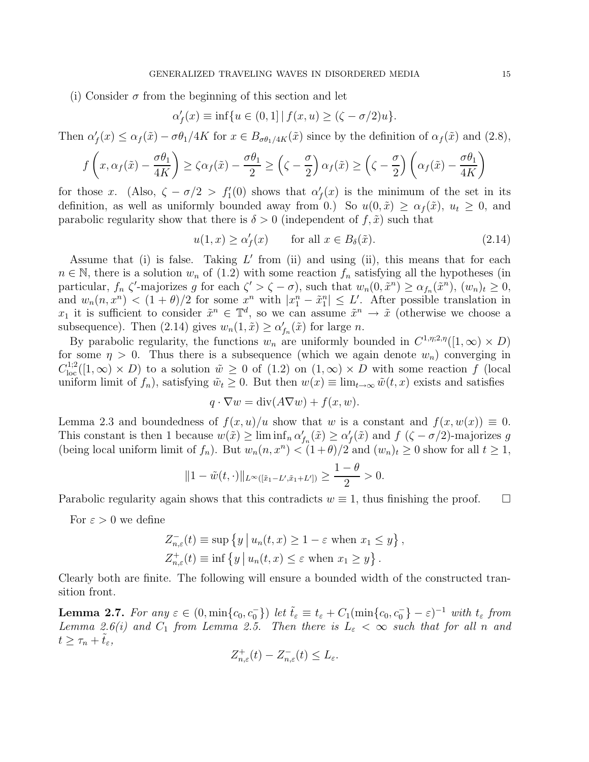(i) Consider  $\sigma$  from the beginning of this section and let

$$
\alpha'_f(x) \equiv \inf \{ u \in (0,1] \, | \, f(x,u) \ge (\zeta - \sigma/2)u \}.
$$

Then  $\alpha'_f(x) \leq \alpha_f(\tilde{x}) - \sigma \theta_1/4K$  for  $x \in B_{\sigma \theta_1/4K}(\tilde{x})$  since by the definition of  $\alpha_f(\tilde{x})$  and  $(2.8)$ ,

$$
f\left(x, \alpha_f(\tilde{x}) - \frac{\sigma \theta_1}{4K}\right) \ge \zeta \alpha_f(\tilde{x}) - \frac{\sigma \theta_1}{2} \ge \left(\zeta - \frac{\sigma}{2}\right) \alpha_f(\tilde{x}) \ge \left(\zeta - \frac{\sigma}{2}\right) \left(\alpha_f(\tilde{x}) - \frac{\sigma \theta_1}{4K}\right)
$$

for those x. (Also,  $\zeta - \sigma/2 > f'_1(0)$  shows that  $\alpha'_f(x)$  is the minimum of the set in its definition, as well as uniformly bounded away from 0.) So  $u(0, \tilde{x}) \ge \alpha_f(\tilde{x})$ ,  $u_t \ge 0$ , and parabolic regularity show that there is  $\delta > 0$  (independent of  $f, \tilde{x}$ ) such that

$$
u(1,x) \ge \alpha_f'(x) \qquad \text{for all } x \in B_\delta(\tilde{x}). \tag{2.14}
$$

Assume that (i) is false. Taking  $L'$  from (ii) and using (ii), this means that for each  $n \in \mathbb{N}$ , there is a solution  $w_n$  of (1.2) with some reaction  $f_n$  satisfying all the hypotheses (in particular,  $f_n \zeta'$ -majorizes g for each  $\zeta' > \zeta - \sigma$ , such that  $w_n(0, \tilde{x}^n) \ge \alpha_{f_n}(\tilde{x}^n)$ ,  $(w_n)_t \ge 0$ , and  $w_n(n, x^n) < (1 + \theta)/2$  for some  $x^n$  with  $|x_1^n - \tilde{x}_1^n| \leq L'$ . After possible translation in  $x_1$  it is sufficient to consider  $\tilde{x}^n \in \mathbb{T}^d$ , so we can assume  $\tilde{x}^n \to \tilde{x}$  (otherwise we choose a subsequence). Then (2.14) gives  $w_n(1, \tilde{x}) \ge \alpha'_{f_n}(\tilde{x})$  for large n.

By parabolic regularity, the functions  $w_n$  are uniformly bounded in  $C^{1,\eta;2,\eta}([1,\infty) \times D)$ for some  $\eta > 0$ . Thus there is a subsequence (which we again denote  $w_n$ ) converging in  $C^{1,2}_{loc}([1,\infty) \times D)$  to a solution  $\tilde{w} \geq 0$  of  $(1,2)$  on  $(1,\infty) \times D$  with some reaction f (local uniform limit of  $f_n$ , satisfying  $\tilde{w}_t \geq 0$ . But then  $w(x) \equiv \lim_{t \to \infty} \tilde{w}(t, x)$  exists and satisfies

$$
q \cdot \nabla w = \text{div}(A \nabla w) + f(x, w).
$$

Lemma 2.3 and boundedness of  $f(x, u)/u$  show that w is a constant and  $f(x, w(x)) \equiv 0$ . This constant is then 1 because  $w(\tilde{x}) \ge \liminf_n \alpha'_{f_n}(\tilde{x}) \ge \alpha'_{f}(\tilde{x})$  and  $f(\zeta - \sigma/2)$ -majorizes g (being local uniform limit of  $f_n$ ). But  $w_n(n, x^n) < (1 + \theta)/2$  and  $(w_n)_t \ge 0$  show for all  $t \ge 1$ ,

$$
||1 - \tilde{w}(t, \cdot)||_{L^{\infty}([\tilde{x}_1 - L', \tilde{x}_1 + L'])} \ge \frac{1 - \theta}{2} > 0.
$$

Parabolic regularity again shows that this contradicts  $w \equiv 1$ , thus finishing the proof.  $\Box$ 

For  $\varepsilon > 0$  we define

$$
Z_{n,\varepsilon}^{-}(t) \equiv \sup \{ y \mid u_n(t,x) \ge 1 - \varepsilon \text{ when } x_1 \le y \},
$$
  

$$
Z_{n,\varepsilon}^{+}(t) \equiv \inf \{ y \mid u_n(t,x) \le \varepsilon \text{ when } x_1 \ge y \}.
$$

Clearly both are finite. The following will ensure a bounded width of the constructed transition front.

**Lemma 2.7.** For any  $\varepsilon \in (0, \min\{c_0, c_0^-\})$  let  $\tilde{t}_{\varepsilon} \equiv t_{\varepsilon} + C_1(\min\{c_0, c_0^-\} - \varepsilon)^{-1}$  with  $t_{\varepsilon}$  from *Lemma 2.6(i) and*  $C_1$  *from Lemma 2.5. Then there is*  $L_{\varepsilon} < \infty$  *such that for all n and*  $t \geq \tau_n + t_{\varepsilon}$ ,

$$
Z_{n,\varepsilon}^+(t) - Z_{n,\varepsilon}^-(t) \le L_{\varepsilon}.
$$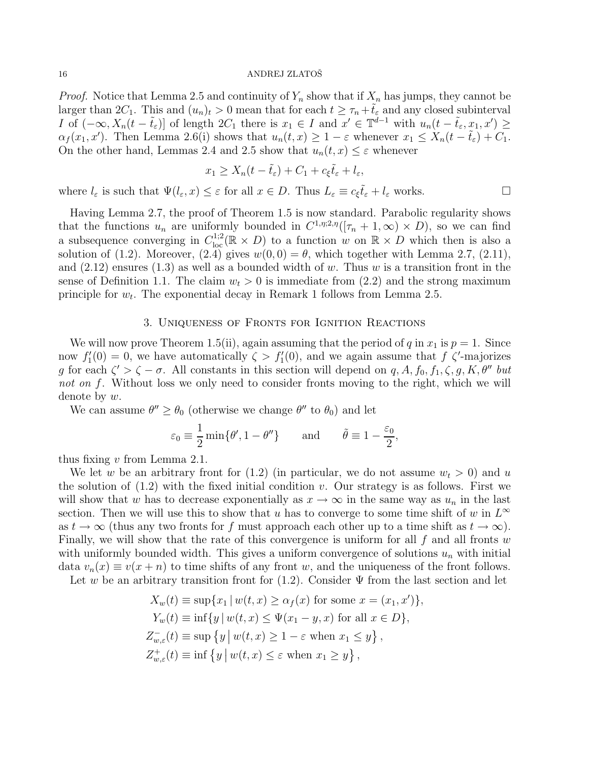*Proof.* Notice that Lemma 2.5 and continuity of  $Y_n$  show that if  $X_n$  has jumps, they cannot be larger than  $2C_1$ . This and  $(u_n)_t > 0$  mean that for each  $t \geq \tau_n + t_\varepsilon$  and any closed subinterval I of  $(-\infty, X_n(t-\tilde{t}_{\varepsilon})]$  of length  $2C_1$  there is  $x_1 \in I$  and  $x' \in \mathbb{T}^{d-1}$  with  $u_n(t-\tilde{t}_{\varepsilon}, x_1, x') \geq$  $\alpha_f(x_1, x')$ . Then Lemma 2.6(i) shows that  $u_n(t, x) \geq 1 - \varepsilon$  whenever  $x_1 \leq X_n(t - \tilde{t}_{\varepsilon}) + C_1$ . On the other hand, Lemmas 2.4 and 2.5 show that  $u_n(t, x) \leq \varepsilon$  whenever

$$
x_1 \ge X_n(t - \tilde{t}_{\varepsilon}) + C_1 + c_{\xi}\tilde{t}_{\varepsilon} + l_{\varepsilon},
$$

where  $l_{\varepsilon}$  is such that  $\Psi(l_{\varepsilon}, x) \leq \varepsilon$  for all  $x \in D$ . Thus  $L_{\varepsilon} \equiv c_{\xi} \tilde{t}_{\varepsilon} + l_{\varepsilon}$  works.

Having Lemma 2.7, the proof of Theorem 1.5 is now standard. Parabolic regularity shows that the functions  $u_n$  are uniformly bounded in  $C^{1,\eta;2,\eta}([\tau_n+1,\infty) \times D)$ , so we can find a subsequence converging in  $C^{1,2}_{loc}(\mathbb{R} \times D)$  to a function w on  $\mathbb{R} \times D$  which then is also a solution of (1.2). Moreover, (2.4) gives  $w(0,0) = \theta$ , which together with Lemma 2.7, (2.11), and  $(2.12)$  ensures  $(1.3)$  as well as a bounded width of w. Thus w is a transition front in the sense of Definition 1.1. The claim  $w_t > 0$  is immediate from (2.2) and the strong maximum principle for  $w_t$ . The exponential decay in Remark 1 follows from Lemma 2.5.

### 3. Uniqueness of Fronts for Ignition Reactions

We will now prove Theorem 1.5(ii), again assuming that the period of q in  $x_1$  is  $p = 1$ . Since now  $f'_{1}(0) = 0$ , we have automatically  $\zeta > f'_{1}(0)$ , and we again assume that  $f \zeta'$ -majorizes g for each  $\zeta' > \zeta - \sigma$ . All constants in this section will depend on q, A,  $f_0, f_1, \zeta, g, K, \theta''$  but *not on* f. Without loss we only need to consider fronts moving to the right, which we will denote by  $w$ .

We can assume  $\theta'' \ge \theta_0$  (otherwise we change  $\theta''$  to  $\theta_0$ ) and let

$$
\varepsilon_0 \equiv \frac{1}{2} \min \{ \theta', 1 - \theta'' \}
$$
 and  $\tilde{\theta} \equiv 1 - \frac{\varepsilon_0}{2}$ ,

thus fixing v from Lemma 2.1.

We let w be an arbitrary front for  $(1.2)$  (in particular, we do not assume  $w_t > 0$ ) and u the solution of  $(1.2)$  with the fixed initial condition v. Our strategy is as follows. First we will show that w has to decrease exponentially as  $x \to \infty$  in the same way as  $u_n$  in the last section. Then we will use this to show that u has to converge to some time shift of w in  $L^{\infty}$ as  $t \to \infty$  (thus any two fronts for f must approach each other up to a time shift as  $t \to \infty$ ). Finally, we will show that the rate of this convergence is uniform for all  $f$  and all fronts  $w$ with uniformly bounded width. This gives a uniform convergence of solutions  $u_n$  with initial data  $v_n(x) \equiv v(x+n)$  to time shifts of any front w, and the uniqueness of the front follows. Let w be an arbitrary transition front for  $(1.2)$ . Consider  $\Psi$  from the last section and let

$$
X_w(t) \equiv \sup\{x_1 \mid w(t, x) \ge \alpha_f(x) \text{ for some } x = (x_1, x')\},
$$
  
\n
$$
Y_w(t) \equiv \inf\{y \mid w(t, x) \le \Psi(x_1 - y, x) \text{ for all } x \in D\},
$$
  
\n
$$
Z_{w,\varepsilon}^-(t) \equiv \sup\{y \mid w(t, x) \ge 1 - \varepsilon \text{ when } x_1 \le y\},
$$
  
\n
$$
Z_{w,\varepsilon}^+(t) \equiv \inf\{y \mid w(t, x) \le \varepsilon \text{ when } x_1 \ge y\},
$$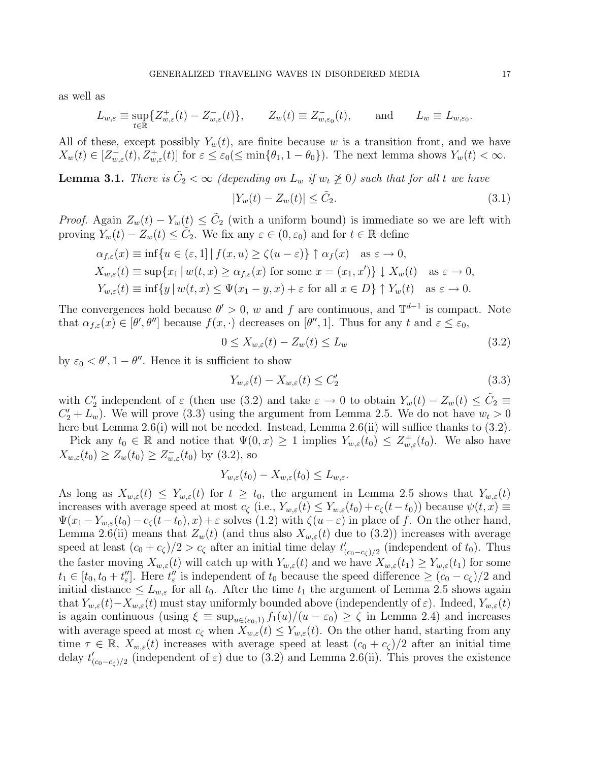as well as

$$
L_{w,\varepsilon} \equiv \sup_{t \in \mathbb{R}} \{ Z_{w,\varepsilon}^+(t) - Z_{w,\varepsilon}^-(t) \}, \qquad Z_w(t) \equiv Z_{w,\varepsilon_0}^-(t), \qquad \text{and} \qquad L_w \equiv L_{w,\varepsilon_0}.
$$

All of these, except possibly  $Y_w(t)$ , are finite because w is a transition front, and we have  $X_w(t) \in [Z_{w,\varepsilon}^-(t), Z_{w,\varepsilon}^+(t)]$  for  $\varepsilon \leq \varepsilon_0 \leq \min\{\theta_1, 1-\theta_0\}$ . The next lemma shows  $Y_w(t) < \infty$ .

**Lemma 3.1.** *There is*  $\tilde{C}_2 < \infty$  *(depending on*  $L_w$  *if*  $w_t \not\ge 0$ ) such that for all t we have

$$
|Y_w(t) - Z_w(t)| \le \tilde{C}_2. \tag{3.1}
$$

*Proof.* Again  $Z_w(t) - Y_w(t) \leq \tilde{C}_2$  (with a uniform bound) is immediate so we are left with proving  $Y_w(t) - Z_w(t) \leq \tilde{C}_2$ . We fix any  $\varepsilon \in (0, \varepsilon_0)$  and for  $t \in \mathbb{R}$  define

$$
\alpha_{f,\varepsilon}(x) \equiv \inf \{ u \in (\varepsilon, 1] \mid f(x, u) \ge \zeta(u - \varepsilon) \} \uparrow \alpha_f(x) \quad \text{as } \varepsilon \to 0,
$$
  
\n
$$
X_{w,\varepsilon}(t) \equiv \sup \{ x_1 \mid w(t, x) \ge \alpha_{f,\varepsilon}(x) \text{ for some } x = (x_1, x') \} \downarrow X_w(t) \quad \text{as } \varepsilon \to 0,
$$
  
\n
$$
Y_{w,\varepsilon}(t) \equiv \inf \{ y \mid w(t, x) \le \Psi(x_1 - y, x) + \varepsilon \text{ for all } x \in D \} \uparrow Y_w(t) \quad \text{as } \varepsilon \to 0.
$$

The convergences hold because  $\theta' > 0$ , w and f are continuous, and  $\mathbb{T}^{d-1}$  is compact. Note that  $\alpha_{f,\varepsilon}(x) \in [\theta', \theta'']$  because  $f(x, \cdot)$  decreases on  $[\theta'', 1]$ . Thus for any t and  $\varepsilon \leq \varepsilon_0$ ,

$$
0 \le X_{w,\varepsilon}(t) - Z_w(t) \le L_w \tag{3.2}
$$

by  $\varepsilon_0 < \theta', 1 - \theta''$ . Hence it is sufficient to show

$$
Y_{w,\varepsilon}(t) - X_{w,\varepsilon}(t) \le C_2' \tag{3.3}
$$

with  $C'_2$  independent of  $\varepsilon$  (then use (3.2) and take  $\varepsilon \to 0$  to obtain  $Y_w(t) - Z_w(t) \leq \tilde{C}_2 \equiv$  $C'_2 + L_w$ ). We will prove (3.3) using the argument from Lemma 2.5. We do not have  $w_t > 0$ here but Lemma 2.6(i) will not be needed. Instead, Lemma 2.6(ii) will suffice thanks to  $(3.2)$ .

Pick any  $t_0 \in \mathbb{R}$  and notice that  $\Psi(0, x) \geq 1$  implies  $Y_{w,\varepsilon}(t_0) \leq Z_{w,\varepsilon}^+(t_0)$ . We also have  $X_{w,\varepsilon}(t_0) \ge Z_w(t_0) \ge Z_{w,\varepsilon}^-(t_0)$  by (3.2), so

$$
Y_{w,\varepsilon}(t_0) - X_{w,\varepsilon}(t_0) \le L_{w,\varepsilon}.
$$

As long as  $X_{w,\varepsilon}(t) \leq Y_{w,\varepsilon}(t)$  for  $t \geq t_0$ , the argument in Lemma 2.5 shows that  $Y_{w,\varepsilon}(t)$ increases with average speed at most  $c_{\zeta}$  (i.e.,  $Y_{w,\varepsilon}(t) \leq Y_{w,\varepsilon}(t_0) + c_{\zeta}(t-t_0)$ ) because  $\psi(t,x) \equiv$  $\Psi(x_1-Y_{w,\varepsilon}(t_0)-c_{\zeta}(t-t_0),x)+\varepsilon$  solves  $(1.2)$  with  $\zeta(u-\varepsilon)$  in place of f. On the other hand, Lemma 2.6(ii) means that  $Z_w(t)$  (and thus also  $X_{w,\varepsilon}(t)$  due to (3.2)) increases with average speed at least  $(c_0 + c_\zeta)/2 > c_\zeta$  after an initial time delay  $t'_{(c_0-c_\zeta)/2}$  (independent of  $t_0$ ). Thus the faster moving  $X_{w,\varepsilon}(t)$  will catch up with  $Y_{w,\varepsilon}(t)$  and we have  $X_{w,\varepsilon}(t_1) \ge Y_{w,\varepsilon}(t_1)$  for some  $t_1 \in [t_0, t_0 + t''_{\varepsilon}]$ . Here  $t''_{\varepsilon}$  is independent of  $t_0$  because the speed difference  $\geq (c_0 - c_{\zeta})/2$  and initial distance  $\leq L_{w,\varepsilon}$  for all  $t_0$ . After the time  $t_1$  the argument of Lemma 2.5 shows again that  $Y_{w,\varepsilon}(t)-X_{w,\varepsilon}(t)$  must stay uniformly bounded above (independently of  $\varepsilon$ ). Indeed,  $Y_{w,\varepsilon}(t)$ is again continuous (using  $\xi \equiv \sup_{u \in (\varepsilon_0, 1)} f_1(u)/(u - \varepsilon_0) \ge \zeta$  in Lemma 2.4) and increases with average speed at most  $c_{\zeta}$  when  $X_{w,\varepsilon}(t) \leq Y_{w,\varepsilon}(t)$ . On the other hand, starting from any time  $\tau \in \mathbb{R}$ ,  $X_{w,\varepsilon}(t)$  increases with average speed at least  $(c_0 + c_{\zeta})/2$  after an initial time delay  $t'_{(c_0-c_\zeta)/2}$  (independent of  $\varepsilon$ ) due to (3.2) and Lemma 2.6(ii). This proves the existence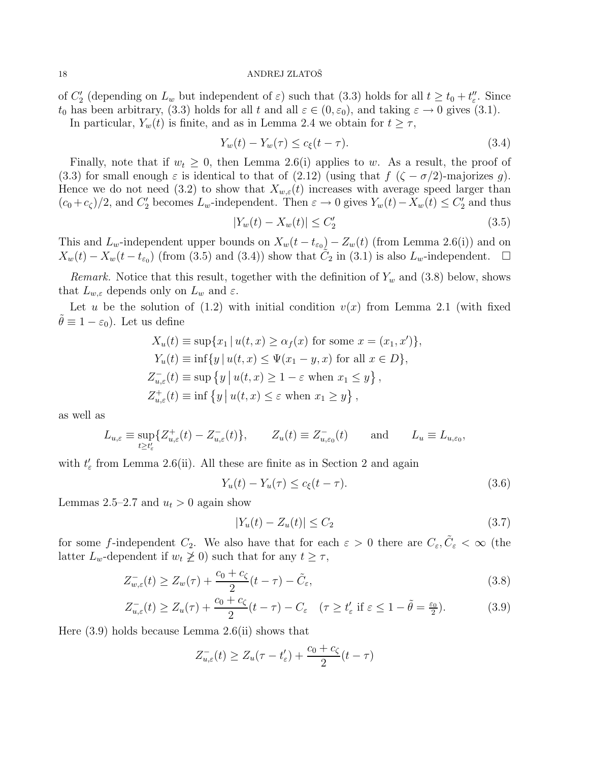of  $C'_{2}$  (depending on  $L_{w}$  but independent of  $\varepsilon$ ) such that (3.3) holds for all  $t \geq t_{0} + t''_{\varepsilon}$ . Since  $t_0$  has been arbitrary, (3.3) holds for all t and all  $\varepsilon \in (0, \varepsilon_0)$ , and taking  $\varepsilon \to 0$  gives (3.1).

In particular,  $Y_w(t)$  is finite, and as in Lemma 2.4 we obtain for  $t \geq \tau$ ,

$$
Y_w(t) - Y_w(\tau) \le c_{\xi}(t - \tau). \tag{3.4}
$$

Finally, note that if  $w_t \geq 0$ , then Lemma 2.6(i) applies to w. As a result, the proof of (3.3) for small enough  $\varepsilon$  is identical to that of (2.12) (using that  $f(\zeta - \sigma/2)$ -majorizes g). Hence we do not need (3.2) to show that  $X_{w,\varepsilon}(t)$  increases with average speed larger than  $(c_0 + c_\zeta)/2$ , and  $C'_2$  becomes  $L_w$ -independent. Then  $\varepsilon \to 0$  gives  $Y_w(t) - X_w(t) \le C'_2$  and thus

$$
|Y_w(t) - X_w(t)| \le C'_2 \tag{3.5}
$$

This and  $L_w$ -independent upper bounds on  $X_w(t - t_{\epsilon_0}) - Z_w(t)$  (from Lemma 2.6(i)) and on  $X_w(t) - X_w(t - t_{\varepsilon_0})$  (from (3.5) and (3.4)) show that  $C_2$  in (3.1) is also  $L_w$ -independent.  $\square$ 

*Remark.* Notice that this result, together with the definition of  $Y_w$  and (3.8) below, shows that  $L_{w,\varepsilon}$  depends only on  $L_w$  and  $\varepsilon$ .

Let u be the solution of  $(1.2)$  with initial condition  $v(x)$  from Lemma 2.1 (with fixed  $\theta \equiv 1 - \varepsilon_0$ . Let us define

$$
X_u(t) \equiv \sup\{x_1 \mid u(t,x) \ge \alpha_f(x) \text{ for some } x = (x_1, x')\},
$$
  
\n
$$
Y_u(t) \equiv \inf\{y \mid u(t,x) \le \Psi(x_1 - y, x) \text{ for all } x \in D\},
$$
  
\n
$$
Z_{u,\varepsilon}^-(t) \equiv \sup\{y \mid u(t,x) \ge 1 - \varepsilon \text{ when } x_1 \le y\},
$$
  
\n
$$
Z_{u,\varepsilon}^+(t) \equiv \inf\{y \mid u(t,x) \le \varepsilon \text{ when } x_1 \ge y\},
$$

as well as

$$
L_{u,\varepsilon} \equiv \sup_{t \ge t'_{\varepsilon}} \{ Z_{u,\varepsilon}^+(t) - Z_{u,\varepsilon}^-(t) \}, \qquad Z_u(t) \equiv Z_{u,\varepsilon_0}^-(t) \qquad \text{and} \qquad L_u \equiv L_{u,\varepsilon_0},
$$

with  $t'_{\varepsilon}$  from Lemma 2.6(ii). All these are finite as in Section 2 and again

$$
Y_u(t) - Y_u(\tau) \le c_\xi(t - \tau). \tag{3.6}
$$

Lemmas 2.5–2.7 and  $u_t > 0$  again show

$$
|Y_u(t) - Z_u(t)| \le C_2 \tag{3.7}
$$

for some f-independent  $C_2$ . We also have that for each  $\varepsilon > 0$  there are  $C_{\varepsilon}, \tilde{C}_{\varepsilon} < \infty$  (the latter  $L_w$ -dependent if  $w_t \not\geq 0$ ) such that for any  $t \geq \tau$ ,

$$
Z_{w,\varepsilon}^{-}(t) \ge Z_{w}(\tau) + \frac{c_0 + c_{\zeta}}{2}(t - \tau) - \tilde{C}_{\varepsilon},
$$
\n(3.8)

$$
Z_{u,\varepsilon}^-(t) \ge Z_u(\tau) + \frac{c_0 + c_\zeta}{2}(t - \tau) - C_\varepsilon \quad (\tau \ge t_\varepsilon' \text{ if } \varepsilon \le 1 - \tilde{\theta} = \frac{\varepsilon_0}{2}).\tag{3.9}
$$

Here (3.9) holds because Lemma 2.6(ii) shows that

$$
Z_{u,\varepsilon}^-(t) \ge Z_u(\tau - t_\varepsilon') + \frac{c_0 + c_\zeta}{2}(t - \tau)
$$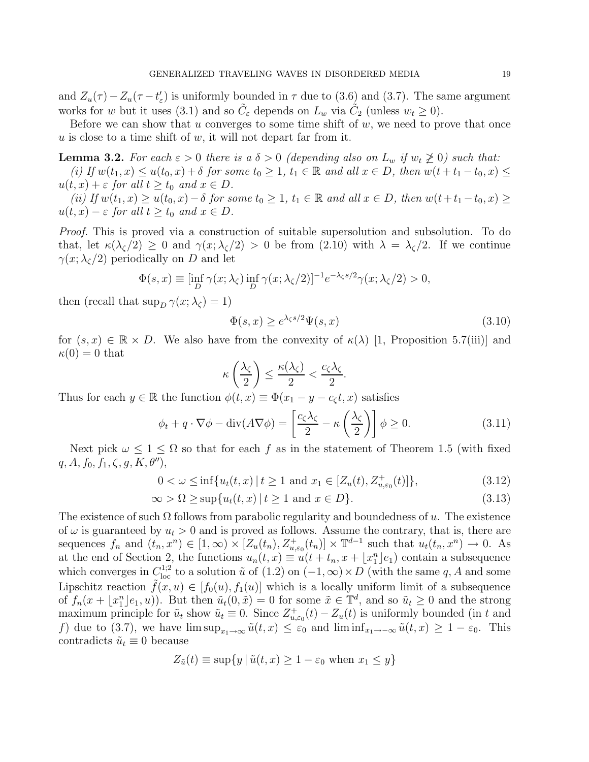and  $Z_u(\tau) - Z_u(\tau - t'_\varepsilon)$  is uniformly bounded in  $\tau$  due to (3.6) and (3.7). The same argument works for w but it uses (3.1) and so  $\tilde{C}_{\varepsilon}$  depends on  $L_w$  via  $\tilde{C}_2$  (unless  $w_t \ge 0$ ).

Before we can show that u converges to some time shift of  $w$ , we need to prove that once u is close to a time shift of  $w$ , it will not depart far from it.

**Lemma 3.2.** For each  $\varepsilon > 0$  there is a  $\delta > 0$  (depending also on  $L_w$  if  $w_t \not\geq 0$ ) such that:  $(i)$  If  $w(t_1, x) \le u(t_0, x) + \delta$  for some  $t_0 \ge 1$ ,  $t_1 \in \mathbb{R}$  and all  $x \in D$ , then  $w(t + t_1 - t_0, x) \le$  $u(t, x) + \varepsilon$  *for all*  $t \geq t_0$  *and*  $x \in D$ *.* 

 $(iii)$  *If*  $w(t_1, x) \ge u(t_0, x) - \delta$  *for some*  $t_0 \ge 1$ ,  $t_1 \in \mathbb{R}$  *and all*  $x \in D$ , *then*  $w(t + t_1 - t_0, x) \ge 0$  $u(t, x) - \varepsilon$  for all  $t \geq t_0$  and  $x \in D$ .

*Proof.* This is proved via a construction of suitable supersolution and subsolution. To do that, let  $\kappa(\lambda_{\zeta}/2) \geq 0$  and  $\gamma(x; \lambda_{\zeta}/2) > 0$  be from  $(2.10)$  with  $\lambda = \lambda_{\zeta}/2$ . If we continue  $\gamma(x; \lambda_C/2)$  periodically on D and let

$$
\Phi(s,x) \equiv \left[\inf_D \gamma(x;\lambda_\zeta) \inf_D \gamma(x;\lambda_\zeta/2)\right]^{-1} e^{-\lambda_\zeta s/2} \gamma(x;\lambda_\zeta/2) > 0,
$$

then (recall that  $\sup_D \gamma(x; \lambda_{\zeta}) = 1$ )

$$
\Phi(s,x) \ge e^{\lambda_{\zeta}s/2} \Psi(s,x) \tag{3.10}
$$

for  $(s, x) \in \mathbb{R} \times D$ . We also have from the convexity of  $\kappa(\lambda)$  [1, Proposition 5.7(iii)] and  $\kappa(0) = 0$  that

$$
\kappa\left(\frac{\lambda_{\zeta}}{2}\right) \le \frac{\kappa(\lambda_{\zeta})}{2} < \frac{c_{\zeta}\lambda_{\zeta}}{2}.
$$

Thus for each  $y \in \mathbb{R}$  the function  $\phi(t, x) \equiv \Phi(x_1 - y - c_{\zeta}t, x)$  satisfies

$$
\phi_t + q \cdot \nabla \phi - \text{div}(A \nabla \phi) = \left[ \frac{c_\zeta \lambda_\zeta}{2} - \kappa \left( \frac{\lambda_\zeta}{2} \right) \right] \phi \ge 0. \tag{3.11}
$$

Next pick  $\omega \leq 1 \leq \Omega$  so that for each f as in the statement of Theorem 1.5 (with fixed  $q, A, f_0, f_1, \zeta, g, K, \theta'$ ,

$$
0 < \omega \le \inf\{u_t(t, x) \mid t \ge 1 \text{ and } x_1 \in [Z_u(t), Z_{u, \varepsilon_0}^+(t)]\},\tag{3.12}
$$

$$
\infty > \Omega \ge \sup\{u_t(t, x) \mid t \ge 1 \text{ and } x \in D\}.\tag{3.13}
$$

The existence of such  $\Omega$  follows from parabolic regularity and boundedness of u. The existence of  $\omega$  is guaranteed by  $u_t > 0$  and is proved as follows. Assume the contrary, that is, there are sequences  $f_n$  and  $(t_n, x^n) \in [1, \infty) \times [Z_u(t_n), Z_{u, \varepsilon_0}^+(t_n)] \times \mathbb{T}^{d-1}$  such that  $u_t(t_n, x^n) \to 0$ . As at the end of Section 2, the functions  $u_n(t, x) \equiv u(t + t_n, x + \lfloor x_1^n \rfloor e_1)$  contain a subsequence which converges in  $C^{1,2}_{loc}$  to a solution  $\tilde{u}$  of  $(1.2)$  on  $(-1,\infty) \times D$  (with the same q, A and some Lipschitz reaction  $f(x, u) \in [f_0(u), f_1(u)]$  which is a locally uniform limit of a subsequence of  $f_n(x + \lfloor x_1^n \rfloor e_1, u)$ . But then  $\tilde{u}_t(0, \tilde{x}) = 0$  for some  $\tilde{x} \in \mathbb{T}^d$ , and so  $\tilde{u}_t \ge 0$  and the strong maximum principle for  $\tilde{u}_t$  show  $\tilde{u}_t \equiv 0$ . Since  $Z_{u,\varepsilon_0}^+(t) - Z_u(t)$  is uniformly bounded (in t and f) due to (3.7), we have  $\limsup_{x_1\to\infty} \tilde{u}(t,x) \leq \varepsilon_0$  and  $\liminf_{x_1\to-\infty} \tilde{u}(t,x) \geq 1-\varepsilon_0$ . This contradicts  $\tilde{u}_t \equiv 0$  because

$$
Z_{\tilde{u}}(t) \equiv \sup\{y \mid \tilde{u}(t, x) \ge 1 - \varepsilon_0 \text{ when } x_1 \le y\}
$$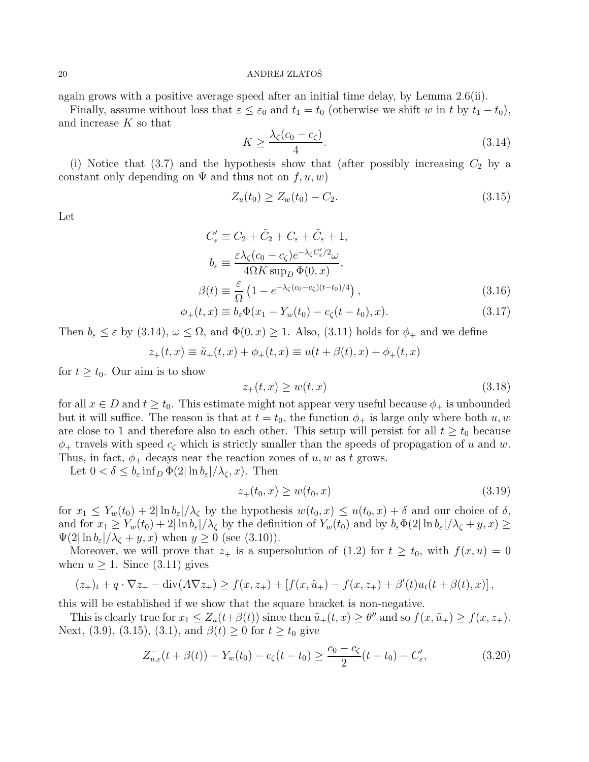again grows with a positive average speed after an initial time delay, by Lemma 2.6(ii).

Finally, assume without loss that  $\varepsilon \leq \varepsilon_0$  and  $t_1 = t_0$  (otherwise we shift w in t by  $t_1 - t_0$ ), and increase K so that

$$
K \ge \frac{\lambda_{\zeta}(c_0 - c_{\zeta})}{4}.\tag{3.14}
$$

(i) Notice that (3.7) and the hypothesis show that (after possibly increasing  $C_2$  by a constant only depending on  $\Psi$  and thus not on  $f, u, w$ )

$$
Z_u(t_0) \ge Z_w(t_0) - C_2. \tag{3.15}
$$

Let

$$
C'_{\varepsilon} \equiv C_2 + \tilde{C}_2 + C_{\varepsilon} + \tilde{C}_{\varepsilon} + 1,
$$
  
\n
$$
b_{\varepsilon} \equiv \frac{\varepsilon \lambda_{\zeta} (c_0 - c_{\zeta}) e^{-\lambda_{\zeta} C'_{\varepsilon}/2} \omega}{4\Omega K \sup_D \Phi(0, x)},
$$
  
\n
$$
\beta(t) \equiv \frac{\varepsilon}{\Omega} \left( 1 - e^{-\lambda_{\zeta}(c_0 - c_{\zeta})(t - t_0)/4} \right),
$$
\n(3.16)

$$
\phi_{+}(t,x) \equiv b_{\varepsilon} \Phi(x_{1} - Y_{w}(t_{0}) - c_{\zeta}(t - t_{0}), x). \tag{3.17}
$$

Then  $b_{\varepsilon} \leq \varepsilon$  by (3.14),  $\omega \leq \Omega$ , and  $\Phi(0, x) \geq 1$ . Also, (3.11) holds for  $\phi_{+}$  and we define

$$
z_{+}(t,x) \equiv \tilde{u}_{+}(t,x) + \phi_{+}(t,x) \equiv u(t + \beta(t),x) + \phi_{+}(t,x)
$$

for  $t \geq t_0$ . Our aim is to show

$$
z_{+}(t,x) \ge w(t,x) \tag{3.18}
$$

for all  $x \in D$  and  $t \geq t_0$ . This estimate might not appear very useful because  $\phi_+$  is unbounded but it will suffice. The reason is that at  $t = t_0$ , the function  $\phi_+$  is large only where both u, w are close to 1 and therefore also to each other. This setup will persist for all  $t \geq t_0$  because  $\phi_+$  travels with speed  $c_{\zeta}$  which is strictly smaller than the speeds of propagation of u and w. Thus, in fact,  $\phi_+$  decays near the reaction zones of u, w as t grows.

Let  $0 < \delta \leq b_{\varepsilon} \inf_D \Phi(2 | \ln b_{\varepsilon}| / \lambda_{\zeta}, x)$ . Then

$$
z_{+}(t_0, x) \ge w(t_0, x) \tag{3.19}
$$

for  $x_1 \leq Y_w(t_0) + 2|\ln b_{\varepsilon}|/\lambda_{\zeta}$  by the hypothesis  $w(t_0, x) \leq u(t_0, x) + \delta$  and our choice of  $\delta$ , and for  $x_1 \ge Y_w(t_0) + 2|\ln b_\varepsilon|/\lambda_\zeta$  by the definition of  $Y_w(t_0)$  and by  $b_\varepsilon\Phi(2|\ln b_\varepsilon|/\lambda_\zeta + y, x) \ge$  $\Psi(2|\ln b_{\varepsilon}|/\lambda_{\zeta}+y,x)$  when  $y\geq 0$  (see (3.10)).

Moreover, we will prove that  $z_+$  is a supersolution of (1.2) for  $t \geq t_0$ , with  $f(x, u) = 0$ when  $u \geq 1$ . Since (3.11) gives

$$
(z_{+})_{t} + q \cdot \nabla z_{+} - \text{div}(A \nabla z_{+}) \ge f(x, z_{+}) + [f(x, \tilde{u}_{+}) - f(x, z_{+}) + \beta'(t)u_{t}(t + \beta(t), x)],
$$

this will be established if we show that the square bracket is non-negative.

This is clearly true for  $x_1 \leq Z_u(t+\beta(t))$  since then  $\tilde{u}_+(t,x) \geq \theta''$  and so  $f(x, \tilde{u}_+) \geq f(x, z_+)$ . Next, (3.9), (3.15), (3.1), and  $\beta(t) \ge 0$  for  $t \ge t_0$  give

$$
Z_{u,\varepsilon}^{-}(t+\beta(t)) - Y_w(t_0) - c_{\zeta}(t-t_0) \ge \frac{c_0 - c_{\zeta}}{2}(t-t_0) - C_{\varepsilon}',\tag{3.20}
$$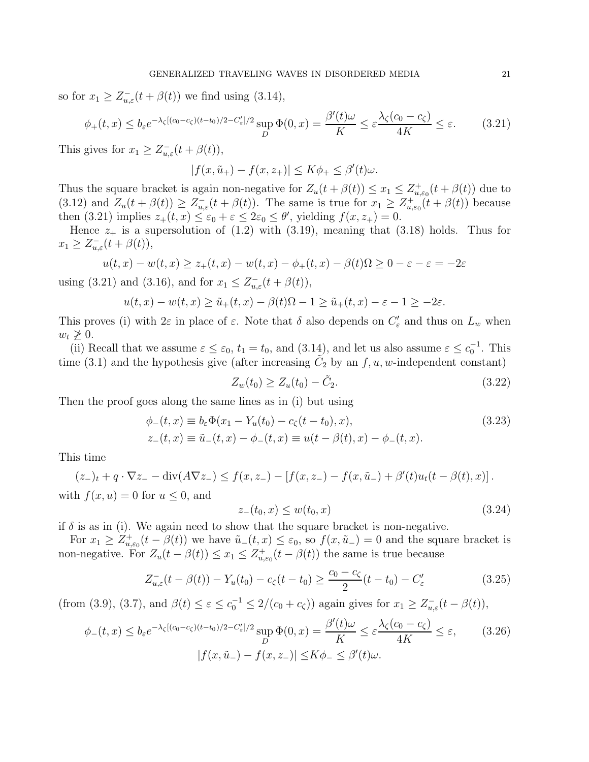so for  $x_1 \ge Z_{u,\varepsilon}^-(t+\beta(t))$  we find using (3.14),

$$
\phi_+(t,x) \le b_\varepsilon e^{-\lambda_\zeta \left[ (c_0 - c_\zeta)(t - t_0)/2 - C'_\varepsilon \right] / 2} \sup_D \Phi(0,x) = \frac{\beta'(t)\omega}{K} \le \varepsilon \frac{\lambda_\zeta(c_0 - c_\zeta)}{4K} \le \varepsilon. \tag{3.21}
$$

This gives for  $x_1 \ge Z_{u,\varepsilon}^-(t + \beta(t)),$ 

$$
|f(x,\tilde{u}_+) - f(x,z_+)| \le K\phi_+ \le \beta'(t)\omega.
$$

Thus the square bracket is again non-negative for  $Z_u(t + \beta(t)) \leq x_1 \leq Z_{u,\varepsilon_0}^+(t + \beta(t))$  due to (3.12) and  $Z_u(t + \beta(t)) \geq Z_{u,\varepsilon}^-(t + \beta(t))$ . The same is true for  $x_1 \geq Z_{u,\varepsilon_0}^+(t + \beta(t))$  because then (3.21) implies  $z_+(t, x) \leq \varepsilon_0 + \varepsilon \leq 2\varepsilon_0 \leq \theta'$ , yielding  $f(x, z_+) = 0$ .

Hence  $z_+$  is a supersolution of (1.2) with (3.19), meaning that (3.18) holds. Thus for  $x_1 \geq Z_{u,\varepsilon}^-(t + \beta(t)),$ 

$$
u(t,x) - w(t,x) \ge z_+(t,x) - w(t,x) - \phi_+(t,x) - \beta(t)\Omega \ge 0 - \varepsilon - \varepsilon = -2\varepsilon
$$

using (3.21) and (3.16), and for  $x_1 \leq Z_{u,\varepsilon}^{-}(t + \beta(t)),$ 

$$
u(t,x) - w(t,x) \ge \tilde{u}_+(t,x) - \beta(t)\Omega - 1 \ge \tilde{u}_+(t,x) - \varepsilon - 1 \ge -2\varepsilon.
$$

This proves (i) with  $2\varepsilon$  in place of  $\varepsilon$ . Note that  $\delta$  also depends on  $C'_{\varepsilon}$  and thus on  $L_w$  when  $w_t \not\geq 0$ .

(ii) Recall that we assume  $\varepsilon \leq \varepsilon_0$ ,  $t_1 = t_0$ , and  $(3.14)$ , and let us also assume  $\varepsilon \leq c_0^{-1}$ . This time (3.1) and the hypothesis give (after increasing  $\tilde{C}_2$  by an  $f, u, w$ -independent constant)

$$
Z_w(t_0) \ge Z_u(t_0) - \tilde{C}_2. \tag{3.22}
$$

Then the proof goes along the same lines as in (i) but using

$$
\begin{aligned} \phi_-(t,x) &\equiv b_\varepsilon \Phi(x_1 - Y_u(t_0) - c_\zeta(t - t_0), x), \\ z_-(t,x) &\equiv \tilde{u}_-(t,x) - \phi_-(t,x) \equiv u(t - \beta(t), x) - \phi_-(t,x). \end{aligned} \tag{3.23}
$$

This time

$$
(z_{-})_{t} + q \cdot \nabla z_{-} - \text{div}(A\nabla z_{-}) \le f(x, z_{-}) - [f(x, z_{-}) - f(x, \tilde{u}_{-}) + \beta'(t)u_{t}(t - \beta(t), x)].
$$
  
with  $f(x, u) = 0$  for  $u \le 0$ , and

$$
z_{-}(t_0, x) \le w(t_0, x) \tag{3.24}
$$

if  $\delta$  is as in (i). We again need to show that the square bracket is non-negative.

For  $x_1 \geq Z^+_{u,\varepsilon_0}(t-\beta(t))$  we have  $\tilde{u}_-(t,x) \leq \varepsilon_0$ , so  $f(x,\tilde{u}_-) = 0$  and the square bracket is non-negative. For  $Z_u(t - \beta(t)) \leq x_1 \leq Z_{u,\varepsilon_0}^+(t - \beta(t))$  the same is true because

$$
Z_{u,\varepsilon}^{-}(t-\beta(t)) - Y_u(t_0) - c_{\zeta}(t-t_0) \ge \frac{c_0 - c_{\zeta}}{2}(t-t_0) - C_{\varepsilon}' \tag{3.25}
$$

(from (3.9), (3.7), and  $\beta(t) \leq \varepsilon \leq c_0^{-1} \leq 2/(c_0 + c_\zeta)$ ) again gives for  $x_1 \geq Z_{u,\varepsilon}^-(t - \beta(t))$ ,

$$
\phi_{-}(t,x) \le b_{\varepsilon} e^{-\lambda_{\zeta}[(c_0 - c_{\zeta})(t - t_0)/2 - C'_{\varepsilon}]/2} \sup_{D} \Phi(0,x) = \frac{\beta'(t)\omega}{K} \le \varepsilon \frac{\lambda_{\zeta}(c_0 - c_{\zeta})}{4K} \le \varepsilon, \qquad (3.26)
$$

$$
|f(x,\tilde{u}_{-}) - f(x,z_{-})| \le K\phi_{-} \le \beta'(t)\omega.
$$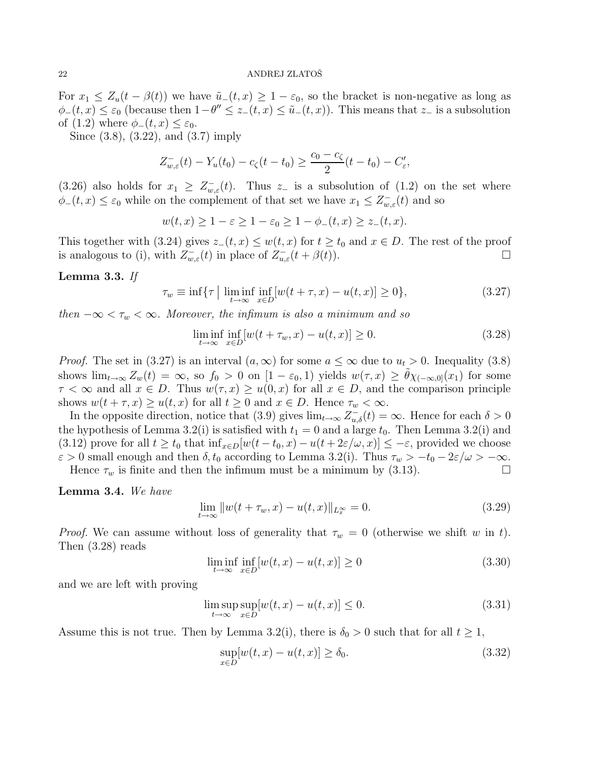For  $x_1 \leq Z_u(t - \beta(t))$  we have  $\tilde{u}_-(t, x) \geq 1 - \varepsilon_0$ , so the bracket is non-negative as long as  $\phi_-(t,x) \leq \varepsilon_0$  (because then  $1-\theta'' \leq z_-(t,x) \leq \tilde{u}_-(t,x)$ ). This means that  $z_-$  is a subsolution of (1.2) where  $\phi_-(t,x) \leq \varepsilon_0$ .

Since (3.8), (3.22), and (3.7) imply

$$
Z_{w,\varepsilon}^-(t) - Y_u(t_0) - c_\zeta(t - t_0) \ge \frac{c_0 - c_\zeta}{2}(t - t_0) - C_\varepsilon',
$$

(3.26) also holds for  $x_1 \geq Z_{w,\varepsilon}^{-}(t)$ . Thus  $z_{-}$  is a subsolution of (1.2) on the set where  $\phi_{-}(t,x) \leq \varepsilon_0$  while on the complement of that set we have  $x_1 \leq Z_{w,\varepsilon}(t)$  and so

$$
w(t,x) \ge 1 - \varepsilon \ge 1 - \varepsilon_0 \ge 1 - \phi_-(t,x) \ge z_-(t,x).
$$

This together with (3.24) gives  $z_-(t, x) \leq w(t, x)$  for  $t \geq t_0$  and  $x \in D$ . The rest of the proof is analogous to (i), with  $Z_{w,\varepsilon}^-(t)$  in place of  $Z_{u,\varepsilon}^-(t+\beta(t))$ .

#### Lemma 3.3. *If*

$$
\tau_w \equiv \inf \{ \tau \mid \liminf_{t \to \infty} \inf_{x \in D} [w(t + \tau, x) - u(t, x)] \ge 0 \},\tag{3.27}
$$

*then*  $-\infty < \tau_w < \infty$ *. Moreover, the infimum is also a minimum and so* 

$$
\liminf_{t \to \infty} \inf_{x \in D} [w(t + \tau_w, x) - u(t, x)] \ge 0.
$$
\n(3.28)

*Proof.* The set in (3.27) is an interval  $(a, \infty)$  for some  $a \leq \infty$  due to  $u_t > 0$ . Inequality (3.8) shows  $\lim_{t\to\infty} Z_w(t) = \infty$ , so  $f_0 > 0$  on  $[1 - \varepsilon_0, 1]$  yields  $w(\tau, x) \geq \tilde{\theta} \chi_{(-\infty,0]}(x_1)$  for some  $\tau < \infty$  and all  $x \in D$ . Thus  $w(\tau, x) \geq u(0, x)$  for all  $x \in D$ , and the comparison principle shows  $w(t + \tau, x) \ge u(t, x)$  for all  $t \ge 0$  and  $x \in D$ . Hence  $\tau_w < \infty$ .

In the opposite direction, notice that (3.9) gives  $\lim_{t\to\infty} Z_{u,\delta}^-(t) = \infty$ . Hence for each  $\delta > 0$ the hypothesis of Lemma 3.2(i) is satisfied with  $t_1 = 0$  and a large  $t_0$ . Then Lemma 3.2(i) and (3.12) prove for all  $t \ge t_0$  that  $\inf_{x \in D} [w(t - t_0, x) - u(t + 2\varepsilon/\omega, x)] \le -\varepsilon$ , provided we choose  $\varepsilon > 0$  small enough and then  $\delta, t_0$  according to Lemma 3.2(i). Thus  $\tau_w > -t_0 - 2\varepsilon/\omega > -\infty$ .

Hence  $\tau_w$  is finite and then the infimum must be a minimum by (3.13).

Lemma 3.4. *We have*

$$
\lim_{t \to \infty} ||w(t + \tau_w, x) - u(t, x)||_{L_x^{\infty}} = 0.
$$
\n(3.29)

*Proof.* We can assume without loss of generality that  $\tau_w = 0$  (otherwise we shift w in t). Then (3.28) reads

$$
\liminf_{t \to \infty} \inf_{x \in D} [w(t, x) - u(t, x)] \ge 0
$$
\n(3.30)

and we are left with proving

$$
\limsup_{t \to \infty} \sup_{x \in D} [w(t, x) - u(t, x)] \le 0.
$$
\n(3.31)

Assume this is not true. Then by Lemma 3.2(i), there is  $\delta_0 > 0$  such that for all  $t \geq 1$ ,

$$
\sup_{x \in D} [w(t, x) - u(t, x)] \ge \delta_0. \tag{3.32}
$$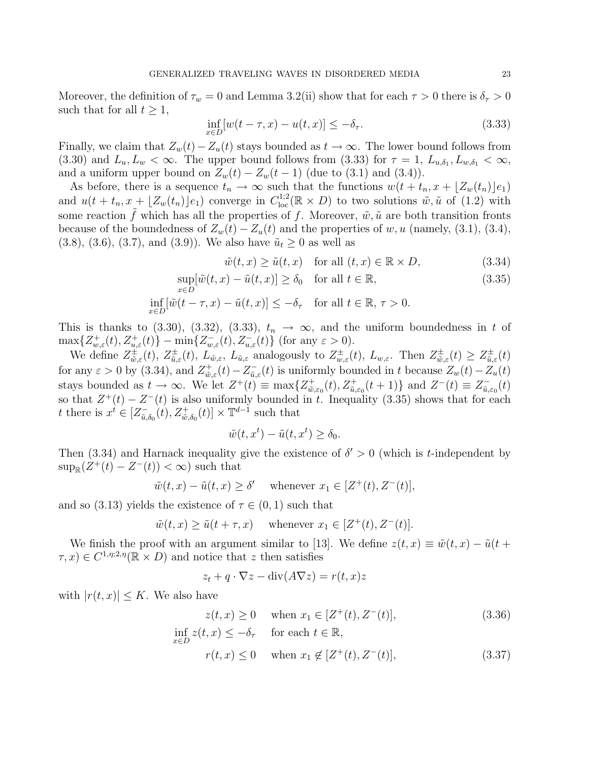Moreover, the definition of  $\tau_w = 0$  and Lemma 3.2(ii) show that for each  $\tau > 0$  there is  $\delta_{\tau} > 0$ such that for all  $t \geq 1$ ,

$$
\inf_{x \in D} [w(t - \tau, x) - u(t, x)] \leq -\delta_{\tau}.\tag{3.33}
$$

Finally, we claim that  $Z_w(t) - Z_u(t)$  stays bounded as  $t \to \infty$ . The lower bound follows from (3.30) and  $L_u, L_w < \infty$ . The upper bound follows from (3.33) for  $\tau = 1, L_{u, \delta_1}, L_{w, \delta_1} < \infty$ , and a uniform upper bound on  $Z_w(t) - Z_w(t-1)$  (due to (3.1) and (3.4)).

As before, there is a sequence  $t_n \to \infty$  such that the functions  $w(t + t_n, x + \lfloor Z_w(t_n) \rfloor e_1)$ and  $u(t + t_n, x + \lfloor Z_w(t_n) \rfloor e_1)$  converge in  $C^{1,2}_{loc}(\mathbb{R} \times D)$  to two solutions  $\tilde{w}, \tilde{u}$  of (1.2) with some reaction  $\tilde{f}$  which has all the properties of f. Moreover,  $\tilde{w}, \tilde{u}$  are both transition fronts because of the boundedness of  $Z_w(t) - Z_u(t)$  and the properties of w, u (namely, (3.1), (3.4),  $(3.8), (3.6), (3.7), \text{ and } (3.9)$ . We also have  $\tilde{u}_t \geq 0$  as well as

$$
\tilde{w}(t,x) \ge \tilde{u}(t,x) \quad \text{for all } (t,x) \in \mathbb{R} \times D,
$$
\n(3.34)

$$
\sup_{x \in D} [\tilde{w}(t, x) - \tilde{u}(t, x)] \ge \delta_0 \quad \text{for all } t \in \mathbb{R},
$$
\n(3.35)

$$
\inf_{x \in D} [\tilde{w}(t - \tau, x) - \tilde{u}(t, x)] \le -\delta_{\tau} \quad \text{for all } t \in \mathbb{R}, \, \tau > 0.
$$

This is thanks to (3.30), (3.32), (3.33),  $t_n \to \infty$ , and the uniform boundedness in t of  $\max\{Z_{w,\varepsilon}^+(t),Z_{u,\varepsilon}^+(t)\}-\min\{Z_{w,\varepsilon}^-(t),Z_{u,\varepsilon}^-(t)\}\$  (for any  $\varepsilon>0$ ).

We define  $Z_{\tilde{w}}^{\pm}$  $\psi_{\tilde{w},\varepsilon}^{\pm}(t),\ Z_{\tilde{u},\varepsilon}^{\pm}% (t)=0,\ \psi_{0}^{\pm}(t)=0,\ \psi_{0}^{\pm}(t)=0,\ \psi_{0}^{\pm}(t)=0,\ \psi_{0}^{\pm}(t)=0. \label{psi}%$  $\mu_{\tilde{u},\varepsilon}^{\pm}(t)$ ,  $L_{\tilde{w},\varepsilon}$ ,  $L_{\tilde{u},\varepsilon}$  analogously to  $Z_{w,\varepsilon}^{\pm}(t)$ ,  $L_{w,\varepsilon}$ . Then  $Z_{\tilde{w}}^{\pm}$  $\dot{\tilde{w}}_{,\varepsilon}(t)\geq Z_{\tilde{u},\varepsilon}^{\pm}$  $\ddot{\tilde{u}}_{,\varepsilon}(t)$ for any  $\varepsilon > 0$  by (3.34), and  $Z_{\tilde{w}}^+$  $\psi_{\tilde{w},\varepsilon}^+(t) - Z_{\tilde{u},\varepsilon}^ \bar{u}_{\tilde{u},\varepsilon}(t)$  is uniformly bounded in t because  $Z_w(t) - Z_u(t)$ stays bounded as  $t \to \infty$ . We let  $Z^+(t) \equiv \max\{Z_{\tilde{w}}^+\}$  $\{\tilde{u},\varepsilon_0(t), Z^+_{\tilde{u},\varepsilon_0}(t+1)\}\$  and  $Z^-(t) \equiv Z^-_{\tilde{u},\varepsilon_0}(t)$  $\bar{\tilde{u}},\varepsilon _{0}(t)$ so that  $Z^+(t) - Z^-(t)$  is also uniformly bounded in t. Inequality (3.35) shows that for each t there is  $x^t \in \left[ \mathcal{Z}_{\tilde{u}}^{-} \right]$  $\left[\bar{u}_{\tilde{u},\delta_0}(t), Z^+_{\tilde{w},\delta_0}(t)\right] \times \mathbb{T}^{d-1}$  such that

$$
\tilde{w}(t, x^t) - \tilde{u}(t, x^t) \ge \delta_0.
$$

Then (3.34) and Harnack inequality give the existence of  $\delta' > 0$  (which is *t*-independent by  $\sup_{\mathbb{R}}(Z^+(t) - Z^-(t)) < \infty$  such that

$$
\tilde{w}(t, x) - \tilde{u}(t, x) \ge \delta' \quad \text{whenever } x_1 \in [Z^+(t), Z^-(t)],
$$

and so (3.13) yields the existence of  $\tau \in (0,1)$  such that

$$
\tilde{w}(t, x) \ge \tilde{u}(t + \tau, x)
$$
 whenever  $x_1 \in [Z^+(t), Z^-(t)].$ 

We finish the proof with an argument similar to [13]. We define  $z(t, x) \equiv \tilde{w}(t, x) - \tilde{u}(t +$  $(\tau, x) \in C^{1,\eta;2,\eta}(\mathbb{R} \times D)$  and notice that z then satisfies

$$
z_t + q \cdot \nabla z - \text{div}(A\nabla z) = r(t, x)z
$$

with  $|r(t, x)| \leq K$ . We also have

$$
z(t, x) \ge 0 \quad \text{when } x_1 \in [Z^+(t), Z^-(t)],
$$
  
\n
$$
\inf_{x \in D} z(t, x) \le -\delta_\tau \quad \text{for each } t \in \mathbb{R},
$$
  
\n
$$
r(t, x) \le 0 \quad \text{when } x_1 \notin [Z^+(t), Z^-(t)],
$$
\n(3.37)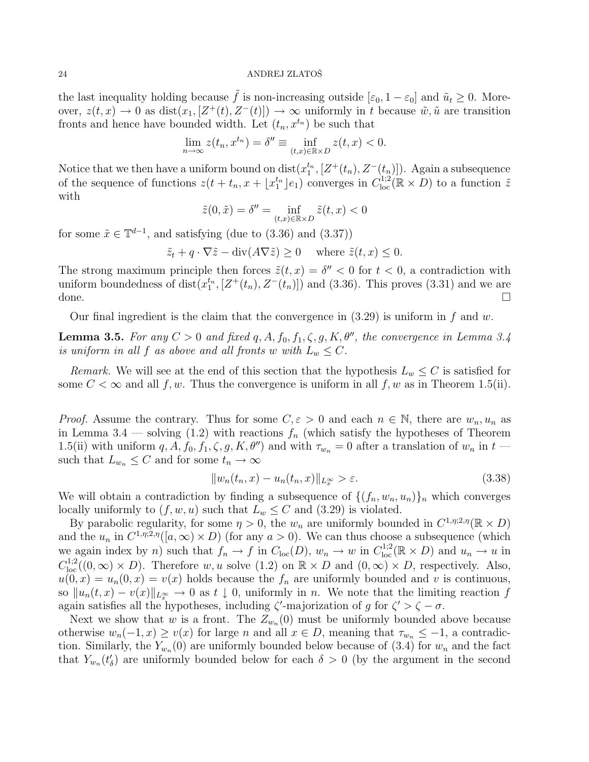the last inequality holding because  $\tilde{f}$  is non-increasing outside  $[\varepsilon_0, 1 - \varepsilon_0]$  and  $\tilde{u}_t \ge 0$ . Moreover,  $z(t, x) \to 0$  as  $dist(x_1, [Z^+(t), Z^-(t)]) \to \infty$  uniformly in t because  $\tilde{w}, \tilde{u}$  are transition fronts and hence have bounded width. Let  $(t_n, x^{t_n})$  be such that

$$
\lim_{n \to \infty} z(t_n, x^{t_n}) = \delta'' \equiv \inf_{(t,x) \in \mathbb{R} \times D} z(t, x) < 0.
$$

Notice that we then have a uniform bound on  $dist(x_1^{t_n}, [Z^+(t_n), Z^-(t_n)])$ . Again a subsequence of the sequence of functions  $z(t+t_n, x+\lfloor x_1^{t_n} \rfloor e_1)$  converges in  $C^{1,2}_{loc}(\mathbb{R} \times D)$  to a function  $\tilde{z}$ with

$$
\tilde{z}(0,\tilde{x}) = \delta'' = \inf_{(t,x)\in\mathbb{R}\times D} \tilde{z}(t,x) < 0
$$

for some  $\tilde{x} \in \mathbb{T}^{d-1}$ , and satisfying (due to (3.36) and (3.37))

$$
\tilde{z}_t + q \cdot \nabla \tilde{z} - \text{div}(A \nabla \tilde{z}) \ge 0
$$
 where  $\tilde{z}(t, x) \le 0$ .

The strong maximum principle then forces  $\tilde{z}(t, x) = \delta'' < 0$  for  $t < 0$ , a contradiction with uniform boundedness of dist $(x_1^{t_n}, [Z^+(t_n), Z^-(t_n)])$  and (3.36). This proves (3.31) and we are done.  $\square$ 

Our final ingredient is the claim that the convergence in  $(3.29)$  is uniform in f and w.

**Lemma 3.5.** *For any*  $C > 0$  *and fixed*  $q, A, f_0, f_1, \zeta, g, K, \theta''$ *, the convergence in Lemma 3.4 is uniform in all* f *as above and all fronts* w with  $L_w \leq C$ .

*Remark.* We will see at the end of this section that the hypothesis  $L_w \leq C$  is satisfied for some  $C < \infty$  and all f, w. Thus the convergence is uniform in all f, w as in Theorem 1.5(ii).

*Proof.* Assume the contrary. Thus for some  $C, \varepsilon > 0$  and each  $n \in \mathbb{N}$ , there are  $w_n, u_n$  as in Lemma 3.4 — solving (1.2) with reactions  $f_n$  (which satisfy the hypotheses of Theorem 1.5(ii) with uniform q, A,  $f_0$ ,  $f_1$ ,  $\zeta$ ,  $g$ ,  $K$ ,  $\theta'$ ) and with  $\tau_{w_n} = 0$  after a translation of  $w_n$  in  $t$ such that  $L_{w_n} \leq C$  and for some  $t_n \to \infty$ 

$$
||w_n(t_n, x) - u_n(t_n, x)||_{L_x^{\infty}} > \varepsilon.
$$
\n(3.38)

We will obtain a contradiction by finding a subsequence of  $\{(f_n, w_n, u_n)\}_n$  which converges locally uniformly to  $(f, w, u)$  such that  $L_w \leq C$  and  $(3.29)$  is violated.

By parabolic regularity, for some  $\eta > 0$ , the  $w_n$  are uniformly bounded in  $C^{1,\eta;2,\eta}(\mathbb{R} \times D)$ and the  $u_n$  in  $C^{1,\eta;2,\eta}([a,\infty)\times D)$  (for any  $a>0$ ). We can thus choose a subsequence (which we again index by n) such that  $f_n \to f$  in  $C_{\text{loc}}(D)$ ,  $w_n \to w$  in  $C_{\text{loc}}^{1,2}(\mathbb{R} \times D)$  and  $u_n \to u$  in  $C_{\text{loc}}^{1,2}((0,\infty) \times D)$ . Therefore w, u solve  $(1.2)$  on  $\mathbb{R} \times D$  and  $(0,\infty) \times D$ , respectively. Also,  $u(0, x) = u_n(0, x) = v(x)$  holds because the  $f_n$  are uniformly bounded and v is continuous, so  $||u_n(t, x) - v(x)||_{L^{\infty}} \to 0$  as  $t \downarrow 0$ , uniformly in n. We note that the limiting reaction f again satisfies all the hypotheses, including  $\zeta'$ -majorization of g for  $\zeta' > \zeta - \sigma$ .

Next we show that w is a front. The  $Z_{w_n}(0)$  must be uniformly bounded above because otherwise  $w_n(-1, x) \ge v(x)$  for large n and all  $x \in D$ , meaning that  $\tau_{w_n} \le -1$ , a contradiction. Similarly, the  $Y_{w_n}(0)$  are uniformly bounded below because of (3.4) for  $w_n$  and the fact that  $Y_{w_n}(t'_\delta)$  are uniformly bounded below for each  $\delta > 0$  (by the argument in the second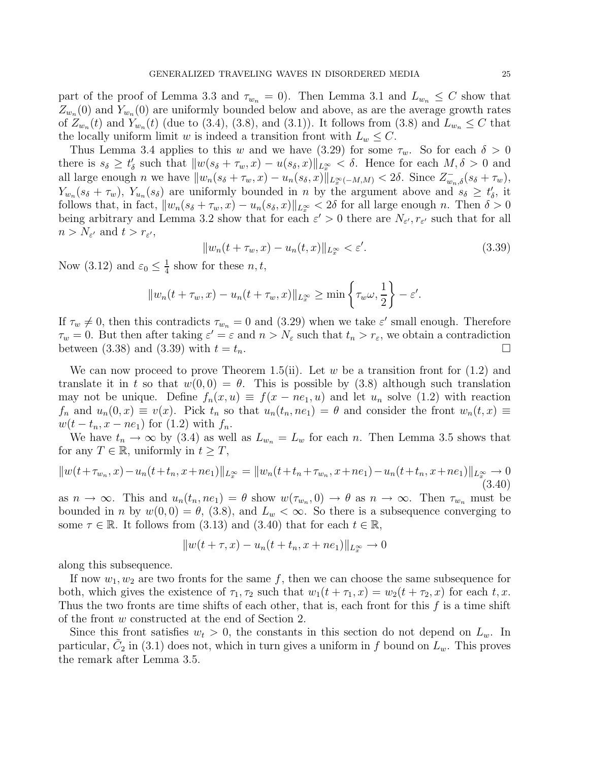part of the proof of Lemma 3.3 and  $\tau_{w_n} = 0$ . Then Lemma 3.1 and  $L_{w_n} \leq C$  show that  $Z_{w_n}(0)$  and  $Y_{w_n}(0)$  are uniformly bounded below and above, as are the average growth rates of  $Z_{w_n}(t)$  and  $Y_{w_n}(t)$  (due to (3.4), (3.8), and (3.1)). It follows from (3.8) and  $L_{w_n} \leq C$  that the locally uniform limit w is indeed a transition front with  $L_w \leq C$ .

Thus Lemma 3.4 applies to this w and we have (3.29) for some  $\tau_w$ . So for each  $\delta > 0$ there is  $s_{\delta} \geq t'_{\delta}$  such that  $||w(s_{\delta} + \tau_w, x) - u(s_{\delta}, x)||_{L_x^{\infty}} < \delta$ . Hence for each  $M, \delta > 0$  and all large enough n we have  $||w_n(s_\delta + \tau_w, x) - u_n(s_\delta, x)||_{L_x^{\infty}(-M,M)} < 2\delta$ . Since  $Z_{w_n,\delta}^-(s_\delta + \tau_w)$ ,  $Y_{w_n}(s_\delta + \tau_w)$ ,  $Y_{u_n}(s_\delta)$  are uniformly bounded in n by the argument above and  $s_\delta \geq t'_\delta$ , it follows that, in fact,  $||w_n(s_\delta + \tau_w, x) - u_n(s_\delta, x)||_{L^\infty} < 2\delta$  for all large enough n. Then  $\delta > 0$ being arbitrary and Lemma 3.2 show that for each  $\varepsilon' > 0$  there are  $N_{\varepsilon'}$ ,  $r_{\varepsilon'}$  such that for all  $n > N_{\varepsilon'}$  and  $t > r_{\varepsilon'}$ ,

$$
||w_n(t + \tau_w, x) - u_n(t, x)||_{L^\infty_x} < \varepsilon'.
$$
\n
$$
(3.39)
$$

Now (3.12) and  $\varepsilon_0 \leq \frac{1}{4}$  $\frac{1}{4}$  show for these  $n, t$ ,

$$
||w_n(t + \tau_w, x) - u_n(t + \tau_w, x)||_{L_x^{\infty}} \ge \min\left\{\tau_w \omega, \frac{1}{2}\right\} - \varepsilon'.
$$

If  $\tau_w \neq 0$ , then this contradicts  $\tau_{w_n} = 0$  and (3.29) when we take  $\varepsilon'$  small enough. Therefore  $\tau_w = 0$ . But then after taking  $\varepsilon' = \varepsilon$  and  $n > N_{\varepsilon}$  such that  $t_n > r_{\varepsilon}$ , we obtain a contradiction between (3.38) and (3.39) with  $t = t_n$ .

We can now proceed to prove Theorem 1.5(ii). Let w be a transition front for  $(1.2)$  and translate it in t so that  $w(0,0) = \theta$ . This is possible by (3.8) although such translation may not be unique. Define  $f_n(x, u) \equiv f(x - ne_1, u)$  and let  $u_n$  solve (1.2) with reaction  $f_n$  and  $u_n(0, x) \equiv v(x)$ . Pick  $t_n$  so that  $u_n(t_n, n_{e_1}) = \theta$  and consider the front  $w_n(t, x) \equiv$  $w(t - t_n, x - ne_1)$  for (1.2) with  $f_n$ .

We have  $t_n \to \infty$  by (3.4) as well as  $L_{w_n} = L_w$  for each n. Then Lemma 3.5 shows that for any  $T \in \mathbb{R}$ , uniformly in  $t \geq T$ ,

$$
||w(t+\tau_{w_n},x)-u_n(t+t_n,x+ne_1)||_{L_x^{\infty}} = ||w_n(t+t_n+\tau_{w_n},x+ne_1)-u_n(t+t_n,x+ne_1)||_{L_x^{\infty}} \to 0
$$
\n(3.40)

as  $n \to \infty$ . This and  $u_n(t_n, ne_1) = \theta$  show  $w(\tau_{w_n}, 0) \to \theta$  as  $n \to \infty$ . Then  $\tau_{w_n}$  must be bounded in n by  $w(0,0) = \theta$ , (3.8), and  $L_w < \infty$ . So there is a subsequence converging to some  $\tau \in \mathbb{R}$ . It follows from (3.13) and (3.40) that for each  $t \in \mathbb{R}$ ,

$$
||w(t + \tau, x) - u_n(t + t_n, x + ne_1)||_{L_x^{\infty}} \to 0
$$

along this subsequence.

If now  $w_1, w_2$  are two fronts for the same f, then we can choose the same subsequence for both, which gives the existence of  $\tau_1, \tau_2$  such that  $w_1(t + \tau_1, x) = w_2(t + \tau_2, x)$  for each t, x. Thus the two fronts are time shifts of each other, that is, each front for this  $f$  is a time shift of the front w constructed at the end of Section 2.

Since this front satisfies  $w_t > 0$ , the constants in this section do not depend on  $L_w$ . In particular,  $\tilde{C}_2$  in (3.1) does not, which in turn gives a uniform in f bound on  $L_w$ . This proves the remark after Lemma 3.5.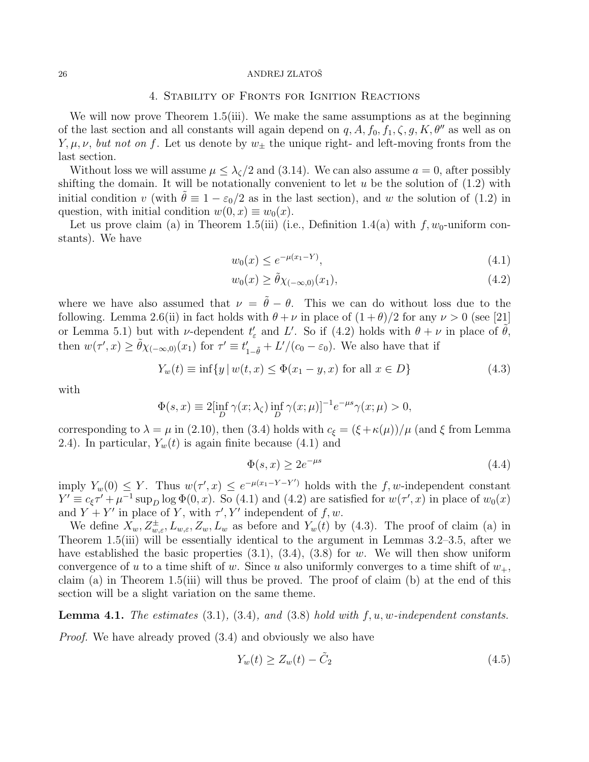### 4. Stability of Fronts for Ignition Reactions

We will now prove Theorem 1.5(iii). We make the same assumptions as at the beginning of the last section and all constants will again depend on  $q, A, f_0, f_1, \zeta, g, K, \theta''$  as well as on  $Y, \mu, \nu$ , *but not on* f. Let us denote by  $w_{\pm}$  the unique right- and left-moving fronts from the last section.

Without loss we will assume  $\mu \leq \lambda \zeta/2$  and (3.14). We can also assume  $a = 0$ , after possibly shifting the domain. It will be notationally convenient to let  $u$  be the solution of  $(1.2)$  with initial condition v (with  $\tilde{\theta} \equiv 1 - \varepsilon_0/2$  as in the last section), and w the solution of (1.2) in question, with initial condition  $w(0, x) \equiv w_0(x)$ .

Let us prove claim (a) in Theorem 1.5(iii) (i.e., Definition 1.4(a) with  $f, w_0$ -uniform constants). We have

$$
w_0(x) \le e^{-\mu(x_1 - Y)},\tag{4.1}
$$

$$
w_0(x) \ge \tilde{\theta} \chi_{(-\infty,0)}(x_1),\tag{4.2}
$$

where we have also assumed that  $\nu = \tilde{\theta} - \theta$ . This we can do without loss due to the following. Lemma 2.6(ii) in fact holds with  $\theta + \nu$  in place of  $(1 + \theta)/2$  for any  $\nu > 0$  (see [21] or Lemma 5.1) but with *ν*-dependent  $t'_{\varepsilon}$  and L'. So if (4.2) holds with  $\theta + \nu$  in place of  $\tilde{\theta}$ , then  $w(\tau', x) \ge \tilde{\theta} \chi_{(-\infty, 0)}(x_1)$  for  $\tau' \equiv t'_{1-\tilde{\theta}} + L'/(c_0 - \varepsilon_0)$ . We also have that if

$$
Y_w(t) \equiv \inf\{y \mid w(t,x) \le \Phi(x_1 - y, x) \text{ for all } x \in D\}
$$
\n
$$
(4.3)
$$

with

$$
\Phi(s,x) \equiv 2[\inf_D \gamma(x;\lambda_{\zeta}) \inf_D \gamma(x;\mu)]^{-1} e^{-\mu s} \gamma(x;\mu) > 0,
$$

corresponding to  $\lambda = \mu$  in (2.10), then (3.4) holds with  $c_{\xi} = (\xi + \kappa(\mu))/\mu$  (and  $\xi$  from Lemma 2.4). In particular,  $Y_w(t)$  is again finite because (4.1) and

$$
\Phi(s, x) \ge 2e^{-\mu s} \tag{4.4}
$$

imply  $Y_w(0) \leq Y$ . Thus  $w(\tau', x) \leq e^{-\mu(x_1 - Y - Y')}$  holds with the f, w-independent constant  $Y' \equiv c_{\xi} \tau' + \mu^{-1} \sup_D \log \Phi(0, x)$ . So (4.1) and (4.2) are satisfied for  $w(\tau', x)$  in place of  $w_0(x)$ and  $Y + Y'$  in place of Y, with  $\tau'$ , Y' independent of  $f, w$ .

We define  $X_w, Z_{w,\varepsilon}^{\pm}, L_{w,\varepsilon}, Z_w, L_w$  as before and  $Y_w(t)$  by (4.3). The proof of claim (a) in Theorem 1.5(iii) will be essentially identical to the argument in Lemmas 3.2–3.5, after we have established the basic properties  $(3.1)$ ,  $(3.4)$ ,  $(3.8)$  for w. We will then show uniform convergence of u to a time shift of w. Since u also uniformly converges to a time shift of  $w_+$ , claim (a) in Theorem 1.5(iii) will thus be proved. The proof of claim (b) at the end of this section will be a slight variation on the same theme.

Lemma 4.1. *The estimates* (3.1)*,* (3.4)*, and* (3.8) *hold with* f, u, w*-independent constants.*

*Proof.* We have already proved (3.4) and obviously we also have

$$
Y_w(t) \ge Z_w(t) - \tilde{C}_2 \tag{4.5}
$$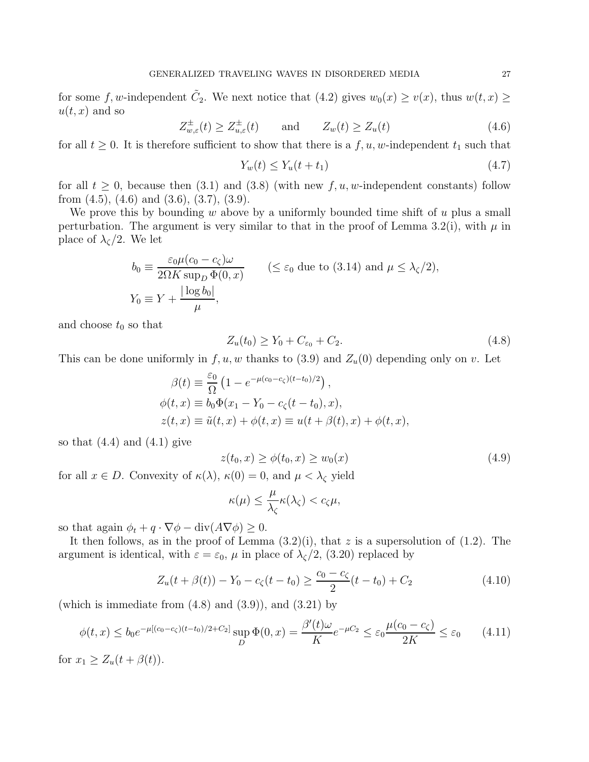for some f, w-independent  $\tilde{C}_2$ . We next notice that (4.2) gives  $w_0(x) \ge v(x)$ , thus  $w(t, x) \ge$  $u(t, x)$  and so

$$
Z_{w,\varepsilon}^{\pm}(t) \ge Z_{u,\varepsilon}^{\pm}(t) \quad \text{and} \quad Z_w(t) \ge Z_u(t) \tag{4.6}
$$

for all  $t \geq 0$ . It is therefore sufficient to show that there is a f, u, w-independent  $t_1$  such that

$$
Y_w(t) \le Y_u(t + t_1) \tag{4.7}
$$

for all  $t \geq 0$ , because then (3.1) and (3.8) (with new  $f, u, w$ -independent constants) follow from  $(4.5)$ ,  $(4.6)$  and  $(3.6)$ ,  $(3.7)$ ,  $(3.9)$ .

We prove this by bounding w above by a uniformly bounded time shift of  $u$  plus a small perturbation. The argument is very similar to that in the proof of Lemma 3.2(i), with  $\mu$  in place of  $\lambda$ <sub> $\zeta$ </sub>/2. We let

$$
b_0 \equiv \frac{\varepsilon_0 \mu (c_0 - c_\zeta)\omega}{2\Omega K \sup_D \Phi(0, x)}
$$
  $(\leq \varepsilon_0 \text{ due to (3.14) and } \mu \leq \lambda_\zeta/2),$   

$$
Y_0 \equiv Y + \frac{|\log b_0|}{\mu},
$$

and choose  $t_0$  so that

$$
Z_u(t_0) \ge Y_0 + C_{\varepsilon_0} + C_2. \tag{4.8}
$$

This can be done uniformly in  $f, u, w$  thanks to (3.9) and  $Z_u(0)$  depending only on v. Let

$$
\beta(t) \equiv \frac{\varepsilon_0}{\Omega} \left( 1 - e^{-\mu(c_0 - c_\zeta)(t - t_0)/2} \right),
$$
  
\n
$$
\phi(t, x) \equiv b_0 \Phi(x_1 - Y_0 - c_\zeta(t - t_0), x),
$$
  
\n
$$
z(t, x) \equiv \tilde{u}(t, x) + \phi(t, x) \equiv u(t + \beta(t), x) + \phi(t, x),
$$

so that  $(4.4)$  and  $(4.1)$  give

$$
z(t_0, x) \ge \phi(t_0, x) \ge w_0(x) \tag{4.9}
$$

for all  $x \in D$ . Convexity of  $\kappa(\lambda)$ ,  $\kappa(0) = 0$ , and  $\mu < \lambda_{\zeta}$  yield

$$
\kappa(\mu) \leq \frac{\mu}{\lambda_{\zeta}} \kappa(\lambda_{\zeta}) < c_{\zeta}\mu,
$$

so that again  $\phi_t + q \cdot \nabla \phi - \text{div}(A \nabla \phi) \geq 0$ .

It then follows, as in the proof of Lemma  $(3.2)(i)$ , that z is a supersolution of  $(1.2)$ . The argument is identical, with  $\varepsilon = \varepsilon_0$ ,  $\mu$  in place of  $\lambda_c/2$ , (3.20) replaced by

$$
Z_u(t + \beta(t)) - Y_0 - c_\zeta(t - t_0) \ge \frac{c_0 - c_\zeta}{2}(t - t_0) + C_2
$$
\n(4.10)

(which is immediate from  $(4.8)$  and  $(3.9)$ ), and  $(3.21)$  by

$$
\phi(t,x) \le b_0 e^{-\mu[(c_0 - c_\zeta)(t - t_0)/2 + C_2]} \sup_D \Phi(0,x) = \frac{\beta'(t)\omega}{K} e^{-\mu C_2} \le \varepsilon_0 \frac{\mu(c_0 - c_\zeta)}{2K} \le \varepsilon_0 \tag{4.11}
$$

for  $x_1 \geq Z_u(t + \beta(t)).$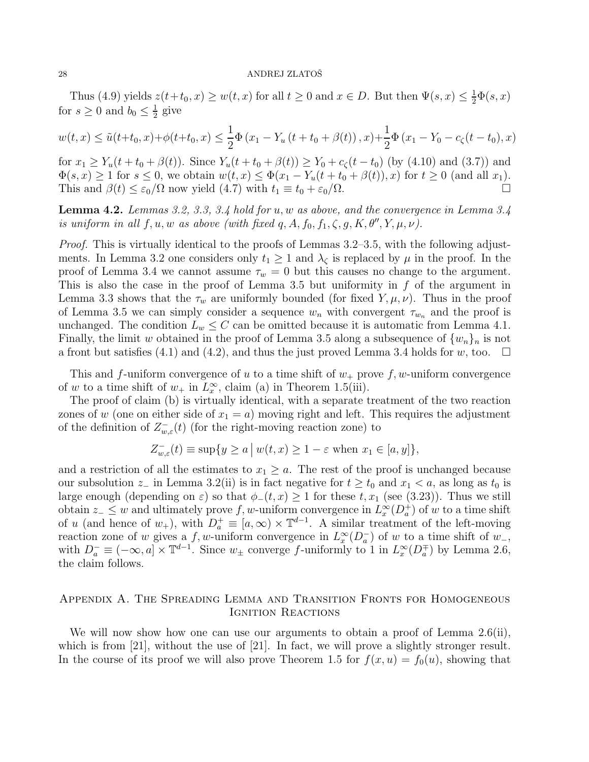Thus (4.9) yields  $z(t+t_0, x) \ge w(t, x)$  for all  $t \ge 0$  and  $x \in D$ . But then  $\Psi(s, x) \le \frac{1}{2}\Phi(s, x)$ for  $s \geq 0$  and  $b_0 \leq \frac{1}{2}$  $\frac{1}{2}$  give

$$
w(t,x) \le \tilde{u}(t+t_0,x) + \phi(t+t_0,x) \le \frac{1}{2}\Phi(x_1 - Y_u(t+t_0+\beta(t)),x) + \frac{1}{2}\Phi(x_1 - Y_0 - c_\zeta(t-t_0),x)
$$

for  $x_1 \ge Y_u(t + t_0 + \beta(t))$ . Since  $Y_u(t + t_0 + \beta(t)) \ge Y_0 + c_\zeta(t - t_0)$  (by (4.10) and (3.7)) and  $\Phi(s, x) \geq 1$  for  $s \leq 0$ , we obtain  $w(t, x) \leq \Phi(x_1 - Y_u(t + t_0 + \beta(t)), x)$  for  $t \geq 0$  (and all  $x_1$ ). This and  $\beta(t) \leq \varepsilon_0/\Omega$  now yield (4.7) with  $t_1 \equiv t_0 + \varepsilon_0/\Omega$ .

Lemma 4.2. *Lemmas 3.2, 3.3, 3.4 hold for* u, w *as above, and the convergence in Lemma 3.4 is uniform in all*  $f, u, w$  *as above (with fixed q, A, f<sub>0</sub>, f<sub>1</sub>,*  $\zeta$ *, g, K,*  $\theta''$ *, Y,*  $\mu$ *,*  $\nu$ *).* 

*Proof.* This is virtually identical to the proofs of Lemmas 3.2–3.5, with the following adjustments. In Lemma 3.2 one considers only  $t_1 \geq 1$  and  $\lambda_{\zeta}$  is replaced by  $\mu$  in the proof. In the proof of Lemma 3.4 we cannot assume  $\tau_w = 0$  but this causes no change to the argument. This is also the case in the proof of Lemma 3.5 but uniformity in  $f$  of the argument in Lemma 3.3 shows that the  $\tau_w$  are uniformly bounded (for fixed Y,  $\mu, \nu$ ). Thus in the proof of Lemma 3.5 we can simply consider a sequence  $w_n$  with convergent  $\tau_{w_n}$  and the proof is unchanged. The condition  $L_w \leq C$  can be omitted because it is automatic from Lemma 4.1. Finally, the limit w obtained in the proof of Lemma 3.5 along a subsequence of  $\{w_n\}_n$  is not a front but satisfies (4.1) and (4.2), and thus the just proved Lemma 3.4 holds for w, too.  $\Box$ 

This and f-uniform convergence of u to a time shift of  $w_+$  prove f, w-uniform convergence of w to a time shift of  $w_+$  in  $L^\infty_x$ , claim (a) in Theorem 1.5(iii).

The proof of claim (b) is virtually identical, with a separate treatment of the two reaction zones of w (one on either side of  $x_1 = a$ ) moving right and left. This requires the adjustment of the definition of  $Z_{w,\varepsilon}^{-}(t)$  (for the right-moving reaction zone) to

$$
Z_{w,\varepsilon}^-(t) \equiv \sup\{y \ge a \mid w(t,x) \ge 1 - \varepsilon \text{ when } x_1 \in [a,y]\},\
$$

and a restriction of all the estimates to  $x_1 \geq a$ . The rest of the proof is unchanged because our subsolution  $z_$  in Lemma 3.2(ii) is in fact negative for  $t \ge t_0$  and  $x_1 < a$ , as long as  $t_0$  is large enough (depending on  $\varepsilon$ ) so that  $\phi_-(t, x) \geq 1$  for these  $t, x_1$  (see (3.23)). Thus we still obtain  $z_-\leq w$  and ultimately prove f, w-uniform convergence in  $L^\infty_x(D^+_a)$  of w to a time shift of u (and hence of  $w_+$ ), with  $D_a^+ \equiv [a,\infty) \times \mathbb{T}^{d-1}$ . A similar treatment of the left-moving reaction zone of w gives a f, w-uniform convergence in  $L^\infty_x(D_a^-)$  of w to a time shift of w<sub>-</sub>, with  $D_a^- \equiv (-\infty, a] \times \mathbb{T}^{d-1}$ . Since  $w_{\pm}$  converge f-uniformly to 1 in  $L_x^{\infty}(D_a^{\mp})$  by Lemma 2.6, the claim follows.

## Appendix A. The Spreading Lemma and Transition Fronts for Homogeneous IGNITION REACTIONS

We will now show how one can use our arguments to obtain a proof of Lemma 2.6(ii), which is from [21], without the use of [21]. In fact, we will prove a slightly stronger result. In the course of its proof we will also prove Theorem 1.5 for  $f(x, u) = f_0(u)$ , showing that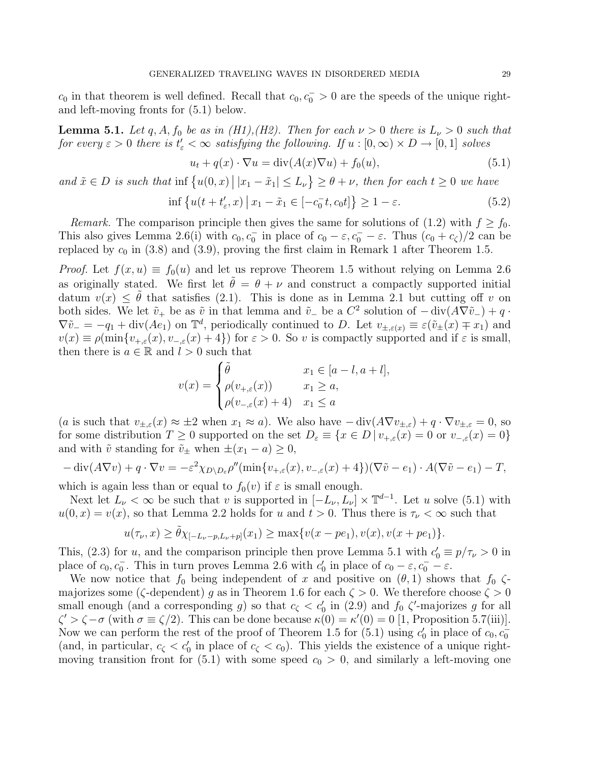$c_0$  in that theorem is well defined. Recall that  $c_0, c_0^- > 0$  are the speeds of the unique rightand left-moving fronts for (5.1) below.

**Lemma 5.1.** Let q, A,  $f_0$  be as in (H1), (H2). Then for each  $\nu > 0$  there is  $L_{\nu} > 0$  such that *for every*  $\varepsilon > 0$  *there is*  $t'_{\varepsilon} < \infty$  *satisfying the following.* If  $u : [0, \infty) \times D \to [0, 1]$  *solves* 

$$
u_t + q(x) \cdot \nabla u = \text{div}(A(x)\nabla u) + f_0(u), \tag{5.1}
$$

and  $\tilde{x} \in D$  is such that inf  $\{u(0, x) | |x_1 - \tilde{x}_1| \le L_\nu\} \ge \theta + \nu$ , then for each  $t \ge 0$  we have

$$
\inf \left\{ u(t + t'_{\varepsilon}, x) \, \middle| \, x_1 - \tilde{x}_1 \in [-c_0^-(t, c_0 t] \right\} \ge 1 - \varepsilon. \tag{5.2}
$$

*Remark.* The comparison principle then gives the same for solutions of (1.2) with  $f \ge f_0$ . This also gives Lemma 2.6(i) with  $c_0, c_0^-$  in place of  $c_0 - \varepsilon, c_0^- - \varepsilon$ . Thus  $(c_0 + c_\zeta)/2$  can be replaced by  $c_0$  in (3.8) and (3.9), proving the first claim in Remark 1 after Theorem 1.5.

*Proof.* Let  $f(x, u) \equiv f_0(u)$  and let us reprove Theorem 1.5 without relying on Lemma 2.6 as originally stated. We first let  $\tilde{\theta} = \theta + \nu$  and construct a compactly supported initial datum  $v(x) \leq \tilde{\theta}$  that satisfies (2.1). This is done as in Lemma 2.1 but cutting off v on both sides. We let  $\tilde{v}_+$  be as  $\tilde{v}$  in that lemma and  $\tilde{v}_-$  be a  $C^2$  solution of  $-$  div $(A\nabla \tilde{v}_-) + q$ .  $\nabla \tilde{v}_{-} = -q_1 + \text{div}(Ae_1)$  on  $\mathbb{T}^d$ , periodically continued to D. Let  $v_{\pm,\varepsilon}(x) \equiv \varepsilon(\tilde{v}_{\pm}(x) \mp x_1)$  and  $v(x) \equiv \rho(\min\{v_{+,\varepsilon}(x), v_{-,\varepsilon}(x) + 4\})$  for  $\varepsilon > 0$ . So v is compactly supported and if  $\varepsilon$  is small, then there is  $a \in \mathbb{R}$  and  $l > 0$  such that

$$
v(x) = \begin{cases} \tilde{\theta} & x_1 \in [a-l, a+l], \\ \rho(v_{+,\varepsilon}(x)) & x_1 \ge a, \\ \rho(v_{-,\varepsilon}(x)+4) & x_1 \le a \end{cases}
$$

(a is such that  $v_{\pm,\varepsilon}(x) \approx \pm 2$  when  $x_1 \approx a$ ). We also have  $-\text{div}(A\nabla v_{\pm,\varepsilon}) + q \cdot \nabla v_{\pm,\varepsilon} = 0$ , so for some distribution  $T \geq 0$  supported on the set  $D_{\varepsilon} \equiv \{x \in D \mid v_{+,\varepsilon}(x) = 0 \text{ or } v_{-,\varepsilon}(x) = 0\}$ and with  $\tilde{v}$  standing for  $\tilde{v}_{\pm}$  when  $\pm(x_1 - a) \geq 0$ ,

$$
-\operatorname{div}(A\nabla v) + q \cdot \nabla v = -\varepsilon^2 \chi_{D \setminus D_{\varepsilon}} \rho''(\min\{v_{+,\varepsilon}(x), v_{-,\varepsilon}(x) + 4\}) (\nabla \tilde{v} - e_1) \cdot A(\nabla \tilde{v} - e_1) - T,
$$

which is again less than or equal to  $f_0(v)$  if  $\varepsilon$  is small enough.

Next let  $L_{\nu} < \infty$  be such that v is supported in  $[-L_{\nu}, L_{\nu}] \times \mathbb{T}^{d-1}$ . Let u solve (5.1) with  $u(0, x) = v(x)$ , so that Lemma 2.2 holds for u and  $t > 0$ . Thus there is  $\tau_{\nu} < \infty$  such that

$$
u(\tau_{\nu}, x) \ge \tilde{\theta} \chi_{[-L_{\nu}-p, L_{\nu}+p]}(x_1) \ge \max\{v(x-pe_1), v(x), v(x+pe_1)\}.
$$

This, (2.3) for u, and the comparison principle then prove Lemma 5.1 with  $c'_0 \equiv p/\tau_{\nu} > 0$  in place of  $c_0, c_0^-$ . This in turn proves Lemma 2.6 with  $c'_0$  in place of  $c_0 - \varepsilon, c_0^- - \varepsilon$ .

We now notice that  $f_0$  being independent of x and positive on  $(\theta, 1)$  shows that  $f_0$   $\zeta$ majorizes some ( $\zeta$ -dependent) g as in Theorem 1.6 for each  $\zeta > 0$ . We therefore choose  $\zeta > 0$ small enough (and a corresponding g) so that  $c_{\zeta} < c'_{0}$  in (2.9) and  $f_{0} \zeta'$ -majorizes g for all  $\zeta' > \zeta - \sigma$  (with  $\sigma \equiv \zeta/2$ ). This can be done because  $\kappa(0) = \kappa'(0) = 0$  [1, Proposition 5.7(iii)]. Now we can perform the rest of the proof of Theorem 1.5 for  $(5.1)$  using  $c'_0$  in place of  $c_0, c_0^-$ (and, in particular,  $c_{\zeta} < c'_{0}$  in place of  $c_{\zeta} < c_{0}$ ). This yields the existence of a unique rightmoving transition front for (5.1) with some speed  $c_0 > 0$ , and similarly a left-moving one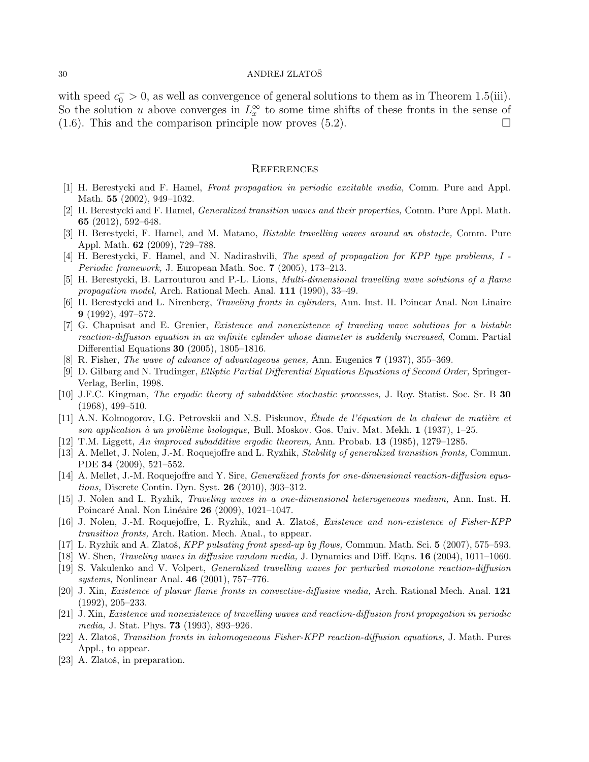with speed  $c_0^- > 0$ , as well as convergence of general solutions to them as in Theorem 1.5(iii). So the solution u above converges in  $L_x^{\infty}$  to some time shifts of these fronts in the sense of  $(1.6)$ . This and the comparison principle now proves  $(5.2)$ .

#### **REFERENCES**

- [1] H. Berestycki and F. Hamel, Front propagation in periodic excitable media, Comm. Pure and Appl. Math. 55 (2002), 949–1032.
- [2] H. Berestycki and F. Hamel, Generalized transition waves and their properties, Comm. Pure Appl. Math. 65 (2012), 592–648.
- [3] H. Berestycki, F. Hamel, and M. Matano, Bistable travelling waves around an obstacle, Comm. Pure Appl. Math. 62 (2009), 729–788.
- [4] H. Berestycki, F. Hamel, and N. Nadirashvili, The speed of propagation for KPP type problems, I Periodic framework, J. European Math. Soc. 7 (2005), 173-213.
- [5] H. Berestycki, B. Larrouturou and P.-L. Lions, Multi-dimensional travelling wave solutions of a flame propagation model, Arch. Rational Mech. Anal. 111 (1990), 33–49.
- [6] H. Berestycki and L. Nirenberg, Traveling fronts in cylinders, Ann. Inst. H. Poincar Anal. Non Linaire 9 (1992), 497–572.
- [7] G. Chapuisat and E. Grenier, Existence and nonexistence of traveling wave solutions for a bistable reaction-diffusion equation in an infinite cylinder whose diameter is suddenly increased, Comm. Partial Differential Equations 30 (2005), 1805–1816.
- [8] R. Fisher, The wave of advance of advantageous genes, Ann. Eugenics 7 (1937), 355–369.
- [9] D. Gilbarg and N. Trudinger, Elliptic Partial Differential Equations Equations of Second Order, Springer-Verlag, Berlin, 1998.
- [10] J.F.C. Kingman, The ergodic theory of subadditive stochastic processes, J. Roy. Statist. Soc. Sr. B 30 (1968), 499–510.
- [11] A.N. Kolmogorov, I.G. Petrovskii and N.S. Piskunov, Étude de l'équation de la chaleur de matière et son application à un problème biologique, Bull. Moskov. Gos. Univ. Mat. Mekh.  $1$  (1937), 1–25.
- [12] T.M. Liggett, An improved subadditive ergodic theorem, Ann. Probab. 13 (1985), 1279–1285.
- [13] A. Mellet, J. Nolen, J.-M. Roquejoffre and L. Ryzhik, Stability of generalized transition fronts, Commun. PDE 34 (2009), 521–552.
- [14] A. Mellet, J.-M. Roquejoffre and Y. Sire, Generalized fronts for one-dimensional reaction-diffusion equations, Discrete Contin. Dyn. Syst. 26 (2010), 303–312.
- [15] J. Nolen and L. Ryzhik, Traveling waves in a one-dimensional heterogeneous medium, Ann. Inst. H. Poincaré Anal. Non Linéaire 26 (2009), 1021–1047.
- [16] J. Nolen, J.-M. Roquejoffre, L. Ryzhik, and A. Zlatoš, Existence and non-existence of Fisher-KPP transition fronts, Arch. Ration. Mech. Anal., to appear.
- [17] L. Ryzhik and A. Zlatoš, KPP pulsating front speed-up by flows, Commun. Math. Sci. 5 (2007), 575–593.
- [18] W. Shen, *Traveling waves in diffusive random media*, J. Dynamics and Diff. Eqns. **16** (2004), 1011–1060.
- [19] S. Vakulenko and V. Volpert, Generalized travelling waves for perturbed monotone reaction-diffusion systems, Nonlinear Anal. 46 (2001), 757–776.
- [20] J. Xin, Existence of planar flame fronts in convective-diffusive media, Arch. Rational Mech. Anal. 121 (1992), 205–233.
- [21] J. Xin, Existence and nonexistence of travelling waves and reaction-diffusion front propagation in periodic media, J. Stat. Phys. 73 (1993), 893–926.
- [22] A. Zlatoš, *Transition fronts in inhomogeneous Fisher-KPP reaction-diffusion equations*, J. Math. Pures Appl., to appear.
- [23] A. Zlatoš, in preparation.